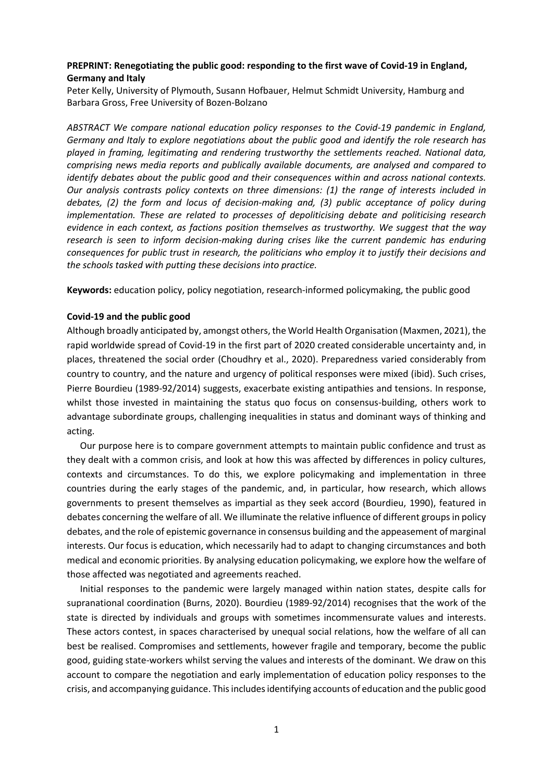# **PREPRINT: Renegotiating the public good: responding to the first wave of Covid-19 in England, Germany and Italy**

Peter Kelly, University of Plymouth, Susann Hofbauer, Helmut Schmidt University, Hamburg and Barbara Gross, Free University of Bozen-Bolzano

*ABSTRACT We compare national education policy responses to the Covid-19 pandemic in England, Germany and Italy to explore negotiations about the public good and identify the role research has played in framing, legitimating and rendering trustworthy the settlements reached. National data, comprising news media reports and publically available documents, are analysed and compared to identify debates about the public good and their consequences within and across national contexts. Our analysis contrasts policy contexts on three dimensions: (1) the range of interests included in debates, (2) the form and locus of decision-making and, (3) public acceptance of policy during implementation. These are related to processes of depoliticising debate and politicising research evidence in each context, as factions position themselves as trustworthy. We suggest that the way research is seen to inform decision-making during crises like the current pandemic has enduring consequences for public trust in research, the politicians who employ it to justify their decisions and the schools tasked with putting these decisions into practice.* 

**Keywords:** education policy, policy negotiation, research-informed policymaking, the public good

## **Covid-19 and the public good**

Although broadly anticipated by, amongst others, the World Health Organisation (Maxmen, 2021), the rapid worldwide spread of Covid-19 in the first part of 2020 created considerable uncertainty and, in places, threatened the social order (Choudhry et al., 2020). Preparedness varied considerably from country to country, and the nature and urgency of political responses were mixed (ibid). Such crises, Pierre Bourdieu (1989-92/2014) suggests, exacerbate existing antipathies and tensions. In response, whilst those invested in maintaining the status quo focus on consensus-building, others work to advantage subordinate groups, challenging inequalities in status and dominant ways of thinking and acting.

Our purpose here is to compare government attempts to maintain public confidence and trust as they dealt with a common crisis, and look at how this was affected by differences in policy cultures, contexts and circumstances. To do this, we explore policymaking and implementation in three countries during the early stages of the pandemic, and, in particular, how research, which allows governments to present themselves as impartial as they seek accord (Bourdieu, 1990), featured in debates concerning the welfare of all. We illuminate the relative influence of different groups in policy debates, and the role of epistemic governance in consensus building and the appeasement of marginal interests. Our focus is education, which necessarily had to adapt to changing circumstances and both medical and economic priorities. By analysing education policymaking, we explore how the welfare of those affected was negotiated and agreements reached.

Initial responses to the pandemic were largely managed within nation states, despite calls for supranational coordination (Burns, 2020). Bourdieu (1989-92/2014) recognises that the work of the state is directed by individuals and groups with sometimes incommensurate values and interests. These actors contest, in spaces characterised by unequal social relations, how the welfare of all can best be realised. Compromises and settlements, however fragile and temporary, become the public good, guiding state-workers whilst serving the values and interests of the dominant. We draw on this account to compare the negotiation and early implementation of education policy responses to the crisis, and accompanying guidance. This includes identifying accounts of education and the public good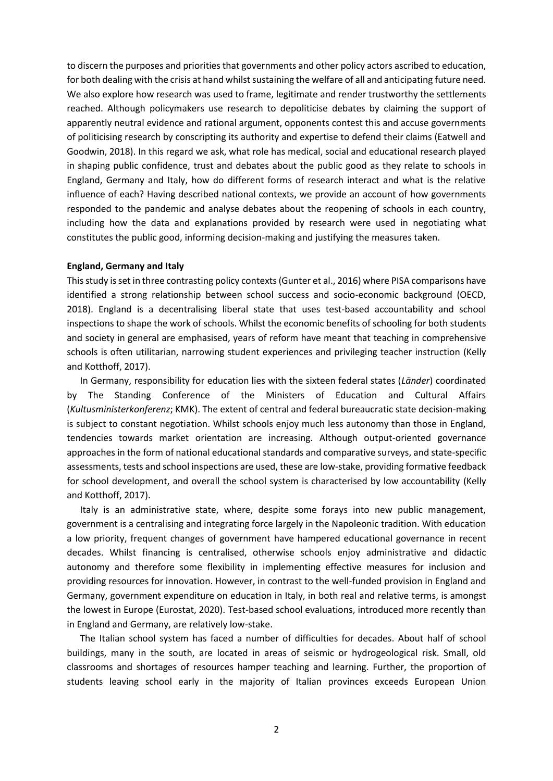to discern the purposes and priorities that governments and other policy actors ascribed to education, for both dealing with the crisis at hand whilst sustaining the welfare of all and anticipating future need. We also explore how research was used to frame, legitimate and render trustworthy the settlements reached. Although policymakers use research to depoliticise debates by claiming the support of apparently neutral evidence and rational argument, opponents contest this and accuse governments of politicising research by conscripting its authority and expertise to defend their claims (Eatwell and Goodwin, 2018). In this regard we ask, what role has medical, social and educational research played in shaping public confidence, trust and debates about the public good as they relate to schools in England, Germany and Italy, how do different forms of research interact and what is the relative influence of each? Having described national contexts, we provide an account of how governments responded to the pandemic and analyse debates about the reopening of schools in each country, including how the data and explanations provided by research were used in negotiating what constitutes the public good, informing decision-making and justifying the measures taken.

### **England, Germany and Italy**

This study is set in three contrasting policy contexts (Gunter et al., 2016) where PISA comparisons have identified a strong relationship between school success and socio-economic background (OECD, 2018). England is a decentralising liberal state that uses test-based accountability and school inspections to shape the work of schools. Whilst the economic benefits of schooling for both students and society in general are emphasised, years of reform have meant that teaching in comprehensive schools is often utilitarian, narrowing student experiences and privileging teacher instruction (Kelly and Kotthoff, 2017).

In Germany, responsibility for education lies with the sixteen federal states (*Länder*) coordinated by The Standing Conference of the Ministers of Education and Cultural Affairs (*Kultusministerkonferenz*; KMK). The extent of central and federal bureaucratic state decision-making is subject to constant negotiation. Whilst schools enjoy much less autonomy than those in England, tendencies towards market orientation are increasing. Although output-oriented governance approaches in the form of national educational standards and comparative surveys, and state-specific assessments, tests and school inspections are used, these are low-stake, providing formative feedback for school development, and overall the school system is characterised by low accountability (Kelly and Kotthoff, 2017).

Italy is an administrative state, where, despite some forays into new public management, government is a centralising and integrating force largely in the Napoleonic tradition. With education a low priority, frequent changes of government have hampered educational governance in recent decades. Whilst financing is centralised, otherwise schools enjoy administrative and didactic autonomy and therefore some flexibility in implementing effective measures for inclusion and providing resources for innovation. However, in contrast to the well-funded provision in England and Germany, government expenditure on education in Italy, in both real and relative terms, is amongst the lowest in Europe (Eurostat, 2020). Test-based school evaluations, introduced more recently than in England and Germany, are relatively low-stake.

The Italian school system has faced a number of difficulties for decades. About half of school buildings, many in the south, are located in areas of seismic or hydrogeological risk. Small, old classrooms and shortages of resources hamper teaching and learning. Further, the proportion of students leaving school early in the majority of Italian provinces exceeds European Union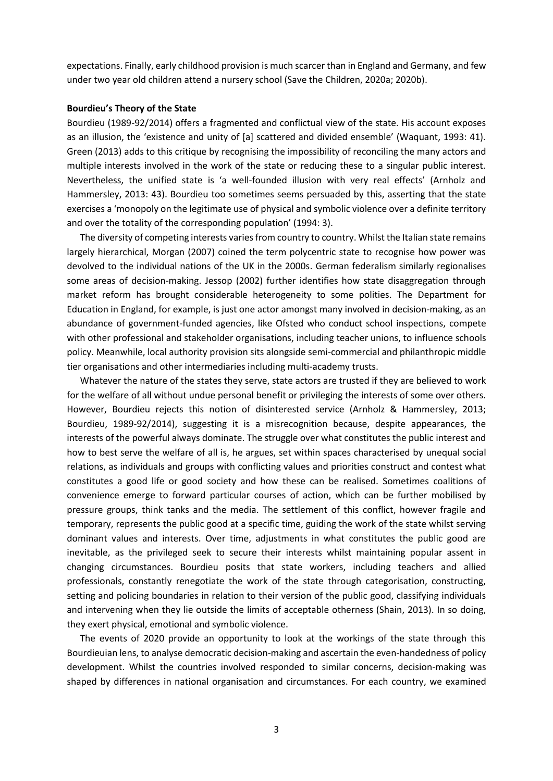expectations. Finally, early childhood provision is much scarcer than in England and Germany, and few under two year old children attend a nursery school (Save the Children, 2020a; 2020b).

### **Bourdieu's Theory of the State**

Bourdieu (1989-92/2014) offers a fragmented and conflictual view of the state. His account exposes as an illusion, the 'existence and unity of [a] scattered and divided ensemble' (Waquant, 1993: 41). Green (2013) adds to this critique by recognising the impossibility of reconciling the many actors and multiple interests involved in the work of the state or reducing these to a singular public interest. Nevertheless, the unified state is 'a well-founded illusion with very real effects' (Arnholz and Hammersley, 2013: 43). Bourdieu too sometimes seems persuaded by this, asserting that the state exercises a 'monopoly on the legitimate use of physical and symbolic violence over a definite territory and over the totality of the corresponding population' (1994: 3).

The diversity of competing interests varies from country to country. Whilst the Italian state remains largely hierarchical, Morgan (2007) coined the term polycentric state to recognise how power was devolved to the individual nations of the UK in the 2000s. German federalism similarly regionalises some areas of decision-making. Jessop (2002) further identifies how state disaggregation through market reform has brought considerable heterogeneity to some polities. The Department for Education in England, for example, is just one actor amongst many involved in decision-making, as an abundance of government-funded agencies, like Ofsted who conduct school inspections, compete with other professional and stakeholder organisations, including teacher unions, to influence schools policy. Meanwhile, local authority provision sits alongside semi-commercial and philanthropic middle tier organisations and other intermediaries including multi-academy trusts.

Whatever the nature of the states they serve, state actors are trusted if they are believed to work for the welfare of all without undue personal benefit or privileging the interests of some over others. However, Bourdieu rejects this notion of disinterested service (Arnholz & Hammersley, 2013; Bourdieu, 1989-92/2014), suggesting it is a misrecognition because, despite appearances, the interests of the powerful always dominate. The struggle over what constitutes the public interest and how to best serve the welfare of all is, he argues, set within spaces characterised by unequal social relations, as individuals and groups with conflicting values and priorities construct and contest what constitutes a good life or good society and how these can be realised. Sometimes coalitions of convenience emerge to forward particular courses of action, which can be further mobilised by pressure groups, think tanks and the media. The settlement of this conflict, however fragile and temporary, represents the public good at a specific time, guiding the work of the state whilst serving dominant values and interests. Over time, adjustments in what constitutes the public good are inevitable, as the privileged seek to secure their interests whilst maintaining popular assent in changing circumstances. Bourdieu posits that state workers, including teachers and allied professionals, constantly renegotiate the work of the state through categorisation, constructing, setting and policing boundaries in relation to their version of the public good, classifying individuals and intervening when they lie outside the limits of acceptable otherness (Shain, 2013). In so doing, they exert physical, emotional and symbolic violence.

The events of 2020 provide an opportunity to look at the workings of the state through this Bourdieuian lens, to analyse democratic decision-making and ascertain the even-handedness of policy development. Whilst the countries involved responded to similar concerns, decision-making was shaped by differences in national organisation and circumstances. For each country, we examined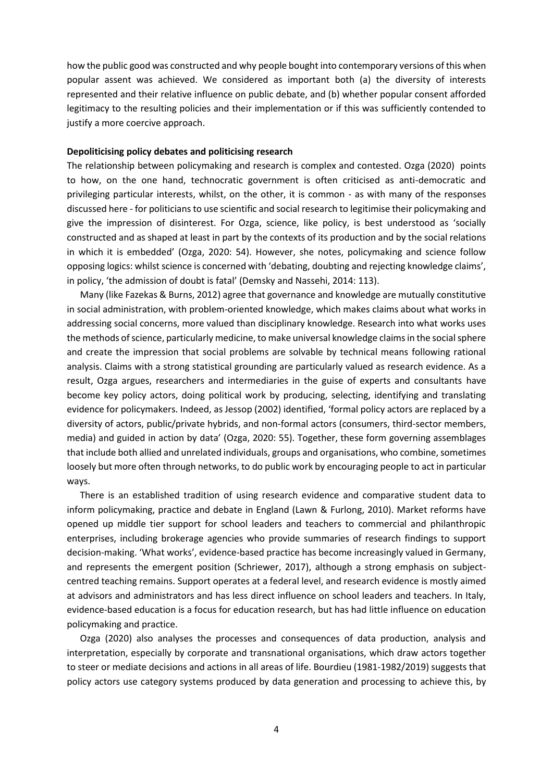how the public good was constructed and why people bought into contemporary versions of this when popular assent was achieved. We considered as important both (a) the diversity of interests represented and their relative influence on public debate, and (b) whether popular consent afforded legitimacy to the resulting policies and their implementation or if this was sufficiently contended to justify a more coercive approach.

## **Depoliticising policy debates and politicising research**

The relationship between policymaking and research is complex and contested. Ozga (2020) points to how, on the one hand, technocratic government is often criticised as anti-democratic and privileging particular interests, whilst, on the other, it is common - as with many of the responses discussed here - for politicians to use scientific and social research to legitimise their policymaking and give the impression of disinterest. For Ozga, science, like policy, is best understood as 'socially constructed and as shaped at least in part by the contexts of its production and by the social relations in which it is embedded' (Ozga, 2020: 54). However, she notes, policymaking and science follow opposing logics: whilst science is concerned with 'debating, doubting and rejecting knowledge claims', in policy, 'the admission of doubt is fatal' (Demsky and Nassehi, 2014: 113).

Many (like Fazekas & Burns, 2012) agree that governance and knowledge are mutually constitutive in social administration, with problem-oriented knowledge, which makes claims about what works in addressing social concerns, more valued than disciplinary knowledge. Research into what works uses the methods of science, particularly medicine, to make universal knowledge claims in the social sphere and create the impression that social problems are solvable by technical means following rational analysis. Claims with a strong statistical grounding are particularly valued as research evidence. As a result, Ozga argues, researchers and intermediaries in the guise of experts and consultants have become key policy actors, doing political work by producing, selecting, identifying and translating evidence for policymakers. Indeed, as Jessop (2002) identified, 'formal policy actors are replaced by a diversity of actors, public/private hybrids, and non-formal actors (consumers, third-sector members, media) and guided in action by data' (Ozga, 2020: 55). Together, these form governing assemblages that include both allied and unrelated individuals, groups and organisations, who combine, sometimes loosely but more often through networks, to do public work by encouraging people to act in particular ways.

There is an established tradition of using research evidence and comparative student data to inform policymaking, practice and debate in England (Lawn & Furlong, 2010). Market reforms have opened up middle tier support for school leaders and teachers to commercial and philanthropic enterprises, including brokerage agencies who provide summaries of research findings to support decision-making. 'What works', evidence-based practice has become increasingly valued in Germany, and represents the emergent position (Schriewer, 2017), although a strong emphasis on subjectcentred teaching remains. Support operates at a federal level, and research evidence is mostly aimed at advisors and administrators and has less direct influence on school leaders and teachers. In Italy, evidence-based education is a focus for education research, but has had little influence on education policymaking and practice.

Ozga (2020) also analyses the processes and consequences of data production, analysis and interpretation, especially by corporate and transnational organisations, which draw actors together to steer or mediate decisions and actions in all areas of life. Bourdieu (1981-1982/2019) suggests that policy actors use category systems produced by data generation and processing to achieve this, by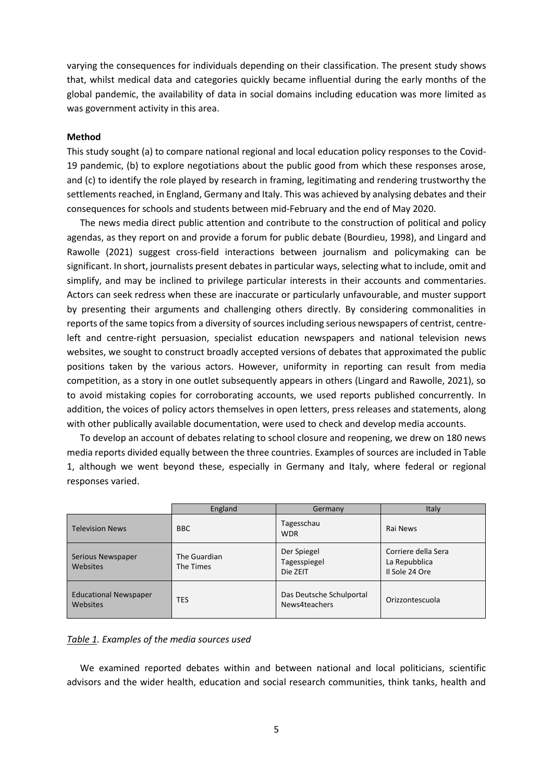varying the consequences for individuals depending on their classification. The present study shows that, whilst medical data and categories quickly became influential during the early months of the global pandemic, the availability of data in social domains including education was more limited as was government activity in this area.

## **Method**

This study sought (a) to compare national regional and local education policy responses to the Covid-19 pandemic, (b) to explore negotiations about the public good from which these responses arose, and (c) to identify the role played by research in framing, legitimating and rendering trustworthy the settlements reached, in England, Germany and Italy. This was achieved by analysing debates and their consequences for schools and students between mid-February and the end of May 2020.

The news media direct public attention and contribute to the construction of political and policy agendas, as they report on and provide a forum for public debate (Bourdieu, 1998), and Lingard and Rawolle (2021) suggest cross-field interactions between journalism and policymaking can be significant. In short, journalists present debates in particular ways, selecting what to include, omit and simplify, and may be inclined to privilege particular interests in their accounts and commentaries. Actors can seek redress when these are inaccurate or particularly unfavourable, and muster support by presenting their arguments and challenging others directly. By considering commonalities in reports of the same topics from a diversity of sources including serious newspapers of centrist, centreleft and centre-right persuasion, specialist education newspapers and national television news websites, we sought to construct broadly accepted versions of debates that approximated the public positions taken by the various actors. However, uniformity in reporting can result from media competition, as a story in one outlet subsequently appears in others (Lingard and Rawolle, 2021), so to avoid mistaking copies for corroborating accounts, we used reports published concurrently. In addition, the voices of policy actors themselves in open letters, press releases and statements, along with other publically available documentation, were used to check and develop media accounts.

To develop an account of debates relating to school closure and reopening, we drew on 180 news media reports divided equally between the three countries. Examples of sources are included in Table 1, although we went beyond these, especially in Germany and Italy, where federal or regional responses varied.

|                                          | England                   | Germany                                   | Italy                                                  |
|------------------------------------------|---------------------------|-------------------------------------------|--------------------------------------------------------|
| <b>Television News</b>                   | <b>BBC</b>                | Tagesschau<br><b>WDR</b>                  | Rai News                                               |
| Serious Newspaper<br>Websites            | The Guardian<br>The Times | Der Spiegel<br>Tagesspiegel<br>Die ZEIT   | Corriere della Sera<br>La Repubblica<br>Il Sole 24 Ore |
| <b>Educational Newspaper</b><br>Websites | <b>TES</b>                | Das Deutsche Schulportal<br>News4teachers | Orizzontescuola                                        |

#### *Table 1. Examples of the media sources used*

We examined reported debates within and between national and local politicians, scientific advisors and the wider health, education and social research communities, think tanks, health and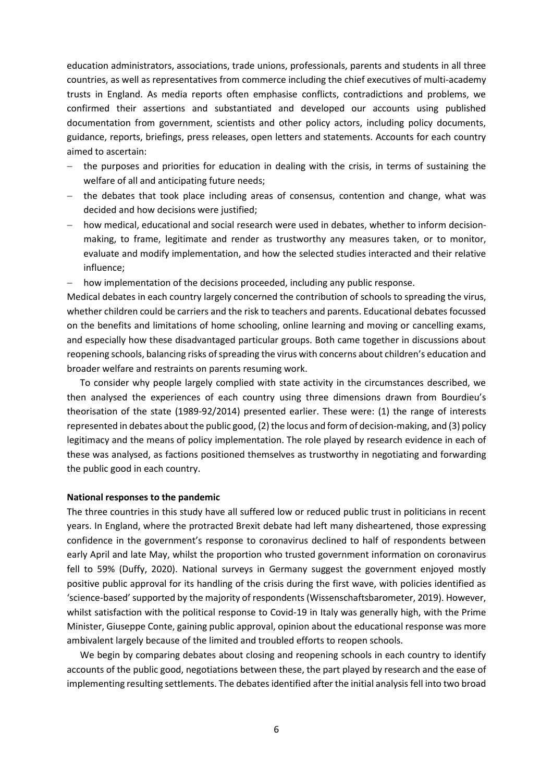education administrators, associations, trade unions, professionals, parents and students in all three countries, as well as representatives from commerce including the chief executives of multi-academy trusts in England. As media reports often emphasise conflicts, contradictions and problems, we confirmed their assertions and substantiated and developed our accounts using published documentation from government, scientists and other policy actors, including policy documents, guidance, reports, briefings, press releases, open letters and statements. Accounts for each country aimed to ascertain:

- the purposes and priorities for education in dealing with the crisis, in terms of sustaining the welfare of all and anticipating future needs;
- the debates that took place including areas of consensus, contention and change, what was decided and how decisions were justified;
- how medical, educational and social research were used in debates, whether to inform decisionmaking, to frame, legitimate and render as trustworthy any measures taken, or to monitor, evaluate and modify implementation, and how the selected studies interacted and their relative influence;

- how implementation of the decisions proceeded, including any public response.

Medical debates in each country largely concerned the contribution of schools to spreading the virus, whether children could be carriers and the risk to teachers and parents. Educational debates focussed on the benefits and limitations of home schooling, online learning and moving or cancelling exams, and especially how these disadvantaged particular groups. Both came together in discussions about reopening schools, balancing risks of spreading the virus with concerns about children's education and broader welfare and restraints on parents resuming work.

To consider why people largely complied with state activity in the circumstances described, we then analysed the experiences of each country using three dimensions drawn from Bourdieu's theorisation of the state (1989-92/2014) presented earlier. These were: (1) the range of interests represented in debates about the public good, (2) the locus and form of decision-making, and (3) policy legitimacy and the means of policy implementation. The role played by research evidence in each of these was analysed, as factions positioned themselves as trustworthy in negotiating and forwarding the public good in each country.

## **National responses to the pandemic**

The three countries in this study have all suffered low or reduced public trust in politicians in recent years. In England, where the protracted Brexit debate had left many disheartened, those expressing confidence in the government's response to coronavirus declined to half of respondents between early April and late May, whilst the proportion who trusted government information on coronavirus fell to 59% (Duffy, 2020). National surveys in Germany suggest the government enjoyed mostly positive public approval for its handling of the crisis during the first wave, with policies identified as 'science-based' supported by the majority of respondents (Wissenschaftsbarometer, 2019). However, whilst satisfaction with the political response to Covid-19 in Italy was generally high, with the Prime Minister, Giuseppe Conte, gaining public approval, opinion about the educational response was more ambivalent largely because of the limited and troubled efforts to reopen schools.

We begin by comparing debates about closing and reopening schools in each country to identify accounts of the public good, negotiations between these, the part played by research and the ease of implementing resulting settlements. The debates identified after the initial analysis fell into two broad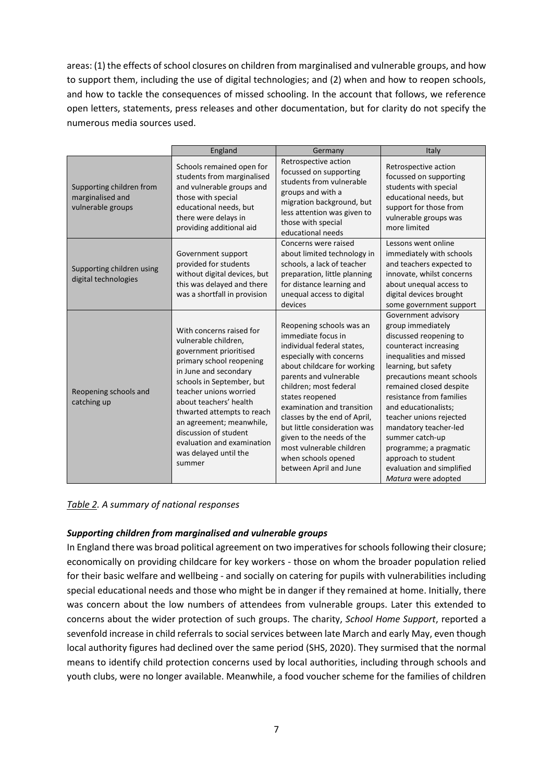areas: (1) the effects of school closures on children from marginalised and vulnerable groups, and how to support them, including the use of digital technologies; and (2) when and how to reopen schools, and how to tackle the consequences of missed schooling. In the account that follows, we reference open letters, statements, press releases and other documentation, but for clarity do not specify the numerous media sources used.

|                                                                   | England                                                                                                                                                                                                                                                                                                                                                              | Germany                                                                                                                                                                                                                                                                                                                                                                                                                | Italy                                                                                                                                                                                                                                                                                                                                                                                                                                  |
|-------------------------------------------------------------------|----------------------------------------------------------------------------------------------------------------------------------------------------------------------------------------------------------------------------------------------------------------------------------------------------------------------------------------------------------------------|------------------------------------------------------------------------------------------------------------------------------------------------------------------------------------------------------------------------------------------------------------------------------------------------------------------------------------------------------------------------------------------------------------------------|----------------------------------------------------------------------------------------------------------------------------------------------------------------------------------------------------------------------------------------------------------------------------------------------------------------------------------------------------------------------------------------------------------------------------------------|
| Supporting children from<br>marginalised and<br>vulnerable groups | Schools remained open for<br>students from marginalised<br>and vulnerable groups and<br>those with special<br>educational needs, but<br>there were delays in<br>providing additional aid                                                                                                                                                                             | Retrospective action<br>focussed on supporting<br>students from vulnerable<br>groups and with a<br>migration background, but<br>less attention was given to<br>those with special<br>educational needs                                                                                                                                                                                                                 | Retrospective action<br>focussed on supporting<br>students with special<br>educational needs, but<br>support for those from<br>vulnerable groups was<br>more limited                                                                                                                                                                                                                                                                   |
| Supporting children using<br>digital technologies                 | Government support<br>provided for students<br>without digital devices, but<br>this was delayed and there<br>was a shortfall in provision                                                                                                                                                                                                                            | Concerns were raised<br>about limited technology in<br>schools, a lack of teacher<br>preparation, little planning<br>for distance learning and<br>unequal access to digital<br>devices                                                                                                                                                                                                                                 | Lessons went online<br>immediately with schools<br>and teachers expected to<br>innovate, whilst concerns<br>about unequal access to<br>digital devices brought<br>some government support                                                                                                                                                                                                                                              |
| Reopening schools and<br>catching up                              | With concerns raised for<br>vulnerable children,<br>government prioritised<br>primary school reopening<br>in June and secondary<br>schools in September, but<br>teacher unions worried<br>about teachers' health<br>thwarted attempts to reach<br>an agreement; meanwhile,<br>discussion of student<br>evaluation and examination<br>was delayed until the<br>summer | Reopening schools was an<br>immediate focus in<br>individual federal states,<br>especially with concerns<br>about childcare for working<br>parents and vulnerable<br>children; most federal<br>states reopened<br>examination and transition<br>classes by the end of April,<br>but little consideration was<br>given to the needs of the<br>most vulnerable children<br>when schools opened<br>between April and June | Government advisory<br>group immediately<br>discussed reopening to<br>counteract increasing<br>inequalities and missed<br>learning, but safety<br>precautions meant schools<br>remained closed despite<br>resistance from families<br>and educationalists;<br>teacher unions rejected<br>mandatory teacher-led<br>summer catch-up<br>programme; a pragmatic<br>approach to student<br>evaluation and simplified<br>Matura were adopted |

*Table 2. A summary of national responses*

# *Supporting children from marginalised and vulnerable groups*

In England there was broad political agreement on two imperatives for schools following their closure; economically on providing childcare for key workers - those on whom the broader population relied for their basic welfare and wellbeing - and socially on catering for pupils with vulnerabilities including special educational needs and those who might be in danger if they remained at home. Initially, there was concern about the low numbers of attendees from vulnerable groups. Later this extended to concerns about the wider protection of such groups. The charity, *School Home Support*, reported a sevenfold increase in child referrals to social services between late March and early May, even though local authority figures had declined over the same period (SHS, 2020). They surmised that the normal means to identify child protection concerns used by local authorities, including through schools and youth clubs, were no longer available. Meanwhile, a food voucher scheme for the families of children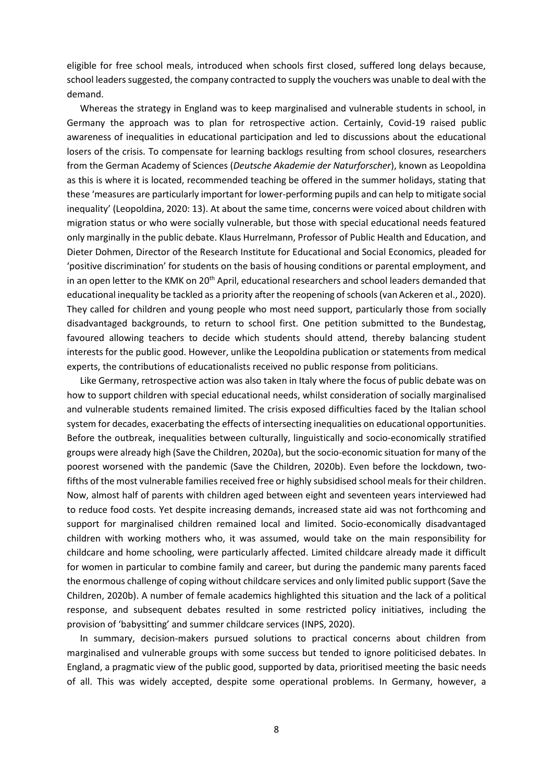eligible for free school meals, introduced when schools first closed, suffered long delays because, school leaders suggested, the company contracted to supply the vouchers was unable to deal with the demand.

Whereas the strategy in England was to keep marginalised and vulnerable students in school, in Germany the approach was to plan for retrospective action. Certainly, Covid-19 raised public awareness of inequalities in educational participation and led to discussions about the educational losers of the crisis. To compensate for learning backlogs resulting from school closures, researchers from the German Academy of Sciences (*Deutsche Akademie der Naturforscher*), known as Leopoldina as this is where it is located, recommended teaching be offered in the summer holidays, stating that these 'measures are particularly important for lower-performing pupils and can help to mitigate social inequality' (Leopoldina, 2020: 13). At about the same time, concerns were voiced about children with migration status or who were socially vulnerable, but those with special educational needs featured only marginally in the public debate. Klaus Hurrelmann, Professor of Public Health and Education, and Dieter Dohmen, Director of the Research Institute for Educational and Social Economics, pleaded for 'positive discrimination' for students on the basis of housing conditions or parental employment, and in an open letter to the KMK on 20<sup>th</sup> April, educational researchers and school leaders demanded that educational inequality be tackled as a priority after the reopening of schools (van Ackeren et al., 2020). They called for children and young people who most need support, particularly those from socially disadvantaged backgrounds, to return to school first. One petition submitted to the Bundestag, favoured allowing teachers to decide which students should attend, thereby balancing student interests for the public good. However, unlike the Leopoldina publication or statements from medical experts, the contributions of educationalists received no public response from politicians.

Like Germany, retrospective action was also taken in Italy where the focus of public debate was on how to support children with special educational needs, whilst consideration of socially marginalised and vulnerable students remained limited. The crisis exposed difficulties faced by the Italian school system for decades, exacerbating the effects of intersecting inequalities on educational opportunities. Before the outbreak, inequalities between culturally, linguistically and socio-economically stratified groups were already high (Save the Children, 2020a), but the socio-economic situation for many of the poorest worsened with the pandemic (Save the Children, 2020b). Even before the lockdown, twofifths of the most vulnerable families received free or highly subsidised school meals for their children. Now, almost half of parents with children aged between eight and seventeen years interviewed had to reduce food costs. Yet despite increasing demands, increased state aid was not forthcoming and support for marginalised children remained local and limited. Socio-economically disadvantaged children with working mothers who, it was assumed, would take on the main responsibility for childcare and home schooling, were particularly affected. Limited childcare already made it difficult for women in particular to combine family and career, but during the pandemic many parents faced the enormous challenge of coping without childcare services and only limited public support (Save the Children, 2020b). A number of female academics highlighted this situation and the lack of a political response, and subsequent debates resulted in some restricted policy initiatives, including the provision of 'babysitting' and summer childcare services (INPS, 2020).

In summary, decision-makers pursued solutions to practical concerns about children from marginalised and vulnerable groups with some success but tended to ignore politicised debates. In England, a pragmatic view of the public good, supported by data, prioritised meeting the basic needs of all. This was widely accepted, despite some operational problems. In Germany, however, a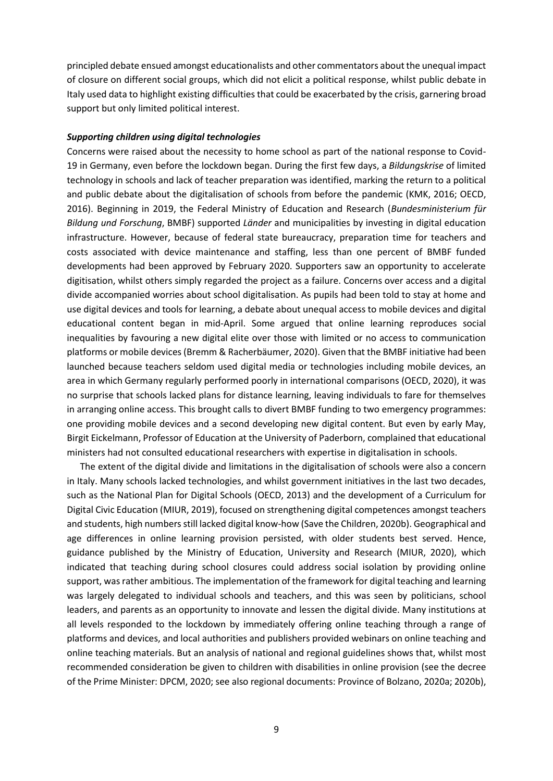principled debate ensued amongst educationalists and other commentators about the unequal impact of closure on different social groups, which did not elicit a political response, whilst public debate in Italy used data to highlight existing difficulties that could be exacerbated by the crisis, garnering broad support but only limited political interest.

### *Supporting children using digital technologies*

Concerns were raised about the necessity to home school as part of the national response to Covid-19 in Germany, even before the lockdown began. During the first few days, a *Bildungskrise* of limited technology in schools and lack of teacher preparation was identified, marking the return to a political and public debate about the digitalisation of schools from before the pandemic (KMK, 2016; OECD, 2016). Beginning in 2019, the Federal Ministry of Education and Research (*Bundesministerium für Bildung und Forschung*, BMBF) supported *Länder* and municipalities by investing in digital education infrastructure. However, because of federal state bureaucracy, preparation time for teachers and costs associated with device maintenance and staffing, less than one percent of BMBF funded developments had been approved by February 2020. Supporters saw an opportunity to accelerate digitisation, whilst others simply regarded the project as a failure. Concerns over access and a digital divide accompanied worries about school digitalisation. As pupils had been told to stay at home and use digital devices and tools for learning, a debate about unequal access to mobile devices and digital educational content began in mid-April. Some argued that online learning reproduces social inequalities by favouring a new digital elite over those with limited or no access to communication platforms or mobile devices (Bremm & Racherbäumer, 2020). Given that the BMBF initiative had been launched because teachers seldom used digital media or technologies including mobile devices, an area in which Germany regularly performed poorly in international comparisons (OECD, 2020), it was no surprise that schools lacked plans for distance learning, leaving individuals to fare for themselves in arranging online access. This brought calls to divert BMBF funding to two emergency programmes: one providing mobile devices and a second developing new digital content. But even by early May, Birgit Eickelmann, Professor of Education at the University of Paderborn, complained that educational ministers had not consulted educational researchers with expertise in digitalisation in schools.

The extent of the digital divide and limitations in the digitalisation of schools were also a concern in Italy. Many schools lacked technologies, and whilst government initiatives in the last two decades, such as the National Plan for Digital Schools (OECD, 2013) and the development of a Curriculum for Digital Civic Education (MIUR, 2019), focused on strengthening digital competences amongst teachers and students, high numbers still lacked digital know-how (Save the Children, 2020b). Geographical and age differences in online learning provision persisted, with older students best served. Hence, guidance published by the Ministry of Education, University and Research (MIUR, 2020), which indicated that teaching during school closures could address social isolation by providing online support, was rather ambitious. The implementation of the framework for digital teaching and learning was largely delegated to individual schools and teachers, and this was seen by politicians, school leaders, and parents as an opportunity to innovate and lessen the digital divide. Many institutions at all levels responded to the lockdown by immediately offering online teaching through a range of platforms and devices, and local authorities and publishers provided webinars on online teaching and online teaching materials. But an analysis of national and regional guidelines shows that, whilst most recommended consideration be given to children with disabilities in online provision (see the decree of the Prime Minister: DPCM, 2020; see also regional documents: Province of Bolzano, 2020a; 2020b),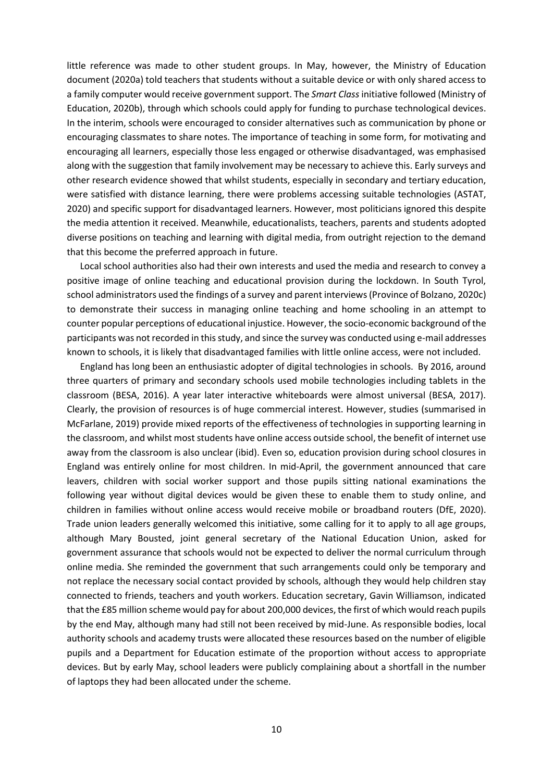little reference was made to other student groups. In May, however, the Ministry of Education document (2020a) told teachers that students without a suitable device or with only shared access to a family computer would receive government support. The *Smart Class* initiative followed (Ministry of Education, 2020b), through which schools could apply for funding to purchase technological devices. In the interim, schools were encouraged to consider alternatives such as communication by phone or encouraging classmates to share notes. The importance of teaching in some form, for motivating and encouraging all learners, especially those less engaged or otherwise disadvantaged, was emphasised along with the suggestion that family involvement may be necessary to achieve this. Early surveys and other research evidence showed that whilst students, especially in secondary and tertiary education, were satisfied with distance learning, there were problems accessing suitable technologies (ASTAT, 2020) and specific support for disadvantaged learners. However, most politicians ignored this despite the media attention it received. Meanwhile, educationalists, teachers, parents and students adopted diverse positions on teaching and learning with digital media, from outright rejection to the demand that this become the preferred approach in future.

Local school authorities also had their own interests and used the media and research to convey a positive image of online teaching and educational provision during the lockdown. In South Tyrol, school administrators used the findings of a survey and parent interviews (Province of Bolzano, 2020c) to demonstrate their success in managing online teaching and home schooling in an attempt to counter popular perceptions of educational injustice. However, the socio-economic background of the participants was not recorded in this study, and since the survey was conducted using e-mail addresses known to schools, it is likely that disadvantaged families with little online access, were not included.

England has long been an enthusiastic adopter of digital technologies in schools. By 2016, around three quarters of primary and secondary schools used mobile technologies including tablets in the classroom (BESA, 2016). A year later interactive whiteboards were almost universal (BESA, 2017). Clearly, the provision of resources is of huge commercial interest. However, studies (summarised in McFarlane, 2019) provide mixed reports of the effectiveness of technologies in supporting learning in the classroom, and whilst most students have online access outside school, the benefit of internet use away from the classroom is also unclear (ibid). Even so, education provision during school closures in England was entirely online for most children. In mid-April, the government announced that care leavers, children with social worker support and those pupils sitting national examinations the following year without digital devices would be given these to enable them to study online, and children in families without online access would receive mobile or broadband routers (DfE, 2020). Trade union leaders generally welcomed this initiative, some calling for it to apply to all age groups, although Mary Bousted, joint general secretary of the National Education Union, asked for government assurance that schools would not be expected to deliver the normal curriculum through online media. She reminded the government that such arrangements could only be temporary and not replace the necessary social contact provided by schools, although they would help children stay connected to friends, teachers and youth workers. Education secretary, Gavin Williamson, indicated that the £85 million scheme would pay for about 200,000 devices, the first of which would reach pupils by the end May, although many had still not been received by mid-June. As responsible bodies, local authority schools and academy trusts were allocated these resources based on the number of eligible pupils and a Department for Education estimate of the proportion without access to appropriate devices. But by early May, school leaders were publicly complaining about a shortfall in the number of laptops they had been allocated under the scheme.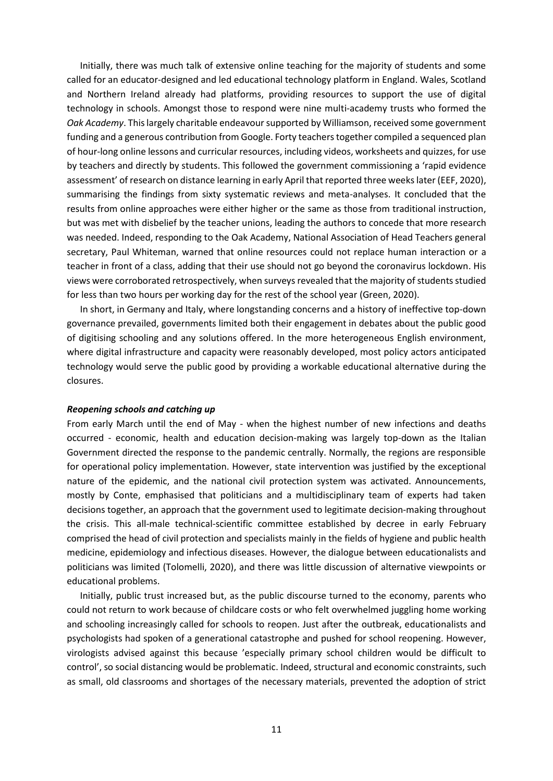Initially, there was much talk of extensive online teaching for the majority of students and some called for an educator-designed and led educational technology platform in England. Wales, Scotland and Northern Ireland already had platforms, providing resources to support the use of digital technology in schools. Amongst those to respond were nine multi-academy trusts who formed the *Oak Academy*. Thislargely charitable endeavour supported by Williamson, received some government funding and a generous contribution from Google. Forty teachers together compiled a sequenced plan of hour-long online lessons and curricular resources, including videos, worksheets and quizzes, for use by teachers and directly by students. This followed the government commissioning a 'rapid evidence assessment' of research on distance learning in early April that reported three weeks later (EEF, 2020), summarising the findings from sixty systematic reviews and meta-analyses. It concluded that the results from online approaches were either higher or the same as those from traditional instruction, but was met with disbelief by the teacher unions, leading the authors to concede that more research was needed. Indeed, responding to the Oak Academy, National Association of Head Teachers general secretary, Paul Whiteman, warned that online resources could not replace human interaction or a teacher in front of a class, adding that their use should not go beyond the coronavirus lockdown. His views were corroborated retrospectively, when surveys revealed that the majority of students studied for less than two hours per working day for the rest of the school year (Green, 2020).

In short, in Germany and Italy, where longstanding concerns and a history of ineffective top-down governance prevailed, governments limited both their engagement in debates about the public good of digitising schooling and any solutions offered. In the more heterogeneous English environment, where digital infrastructure and capacity were reasonably developed, most policy actors anticipated technology would serve the public good by providing a workable educational alternative during the closures.

#### *Reopening schools and catching up*

From early March until the end of May - when the highest number of new infections and deaths occurred - economic, health and education decision-making was largely top-down as the Italian Government directed the response to the pandemic centrally. Normally, the regions are responsible for operational policy implementation. However, state intervention was justified by the exceptional nature of the epidemic, and the national civil protection system was activated. Announcements, mostly by Conte, emphasised that politicians and a multidisciplinary team of experts had taken decisions together, an approach that the government used to legitimate decision-making throughout the crisis. This all-male technical-scientific committee established by decree in early February comprised the head of civil protection and specialists mainly in the fields of hygiene and public health medicine, epidemiology and infectious diseases. However, the dialogue between educationalists and politicians was limited (Tolomelli, 2020), and there was little discussion of alternative viewpoints or educational problems.

Initially, public trust increased but, as the public discourse turned to the economy, parents who could not return to work because of childcare costs or who felt overwhelmed juggling home working and schooling increasingly called for schools to reopen. Just after the outbreak, educationalists and psychologists had spoken of a generational catastrophe and pushed for school reopening. However, virologists advised against this because 'especially primary school children would be difficult to control', so social distancing would be problematic. Indeed, structural and economic constraints, such as small, old classrooms and shortages of the necessary materials, prevented the adoption of strict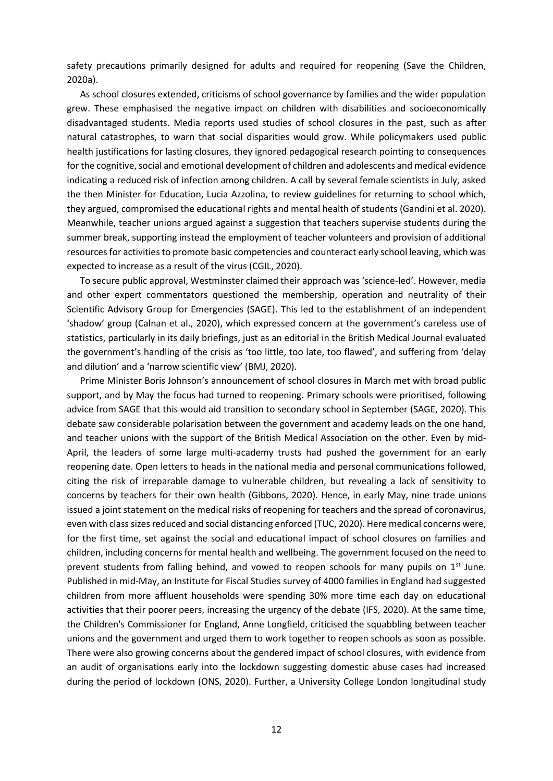safety precautions primarily designed for adults and required for reopening (Save the Children, 2020a).

As school closures extended, criticisms of school governance by families and the wider population grew. These emphasised the negative impact on children with disabilities and socioeconomically disadvantaged students. Media reports used studies of school closures in the past, such as after natural catastrophes, to warn that social disparities would grow. While policymakers used public health justifications for lasting closures, they ignored pedagogical research pointing to consequences for the cognitive, social and emotional development of children and adolescents and medical evidence indicating a reduced risk of infection among children. A call by several female scientists in July, asked the then Minister for Education, Lucia Azzolina, to review guidelines for returning to school which, they argued, compromised the educational rights and mental health of students (Gandini et al. 2020). Meanwhile, teacher unions argued against a suggestion that teachers supervise students during the summer break, supporting instead the employment of teacher volunteers and provision of additional resources for activities to promote basic competencies and counteract early school leaving, which was expected to increase as a result of the virus (CGIL, 2020).

To secure public approval, Westminster claimed their approach was 'science-led'. However, media and other expert commentators questioned the membership, operation and neutrality of their Scientific Advisory Group for Emergencies (SAGE). This led to the establishment of an independent 'shadow' group (Calnan et al., 2020), which expressed concern at the government's careless use of statistics, particularly in its daily briefings, just as an editorial in the British Medical Journal evaluated the government's handling of the crisis as 'too little, too late, too flawed', and suffering from 'delay and dilution' and a 'narrow scientific view' (BMJ, 2020).

Prime Minister Boris Johnson's announcement of school closures in March met with broad public support, and by May the focus had turned to reopening. Primary schools were prioritised, following advice from SAGE that this would aid transition to secondary school in September (SAGE, 2020). This debate saw considerable polarisation between the government and academy leads on the one hand, and teacher unions with the support of the British Medical Association on the other. Even by mid-April, the leaders of some large multi-academy trusts had pushed the government for an early reopening date. Open letters to heads in the national media and personal communications followed, citing the risk of irreparable damage to vulnerable children, but revealing a lack of sensitivity to concerns by teachers for their own health (Gibbons, 2020). Hence, in early May, nine trade unions issued a joint statement on the medical risks of reopening for teachers and the spread of coronavirus, even with class sizes reduced and social distancing enforced (TUC, 2020). Here medical concerns were, for the first time, set against the social and educational impact of school closures on families and children, including concerns for mental health and wellbeing. The government focused on the need to prevent students from falling behind, and vowed to reopen schools for many pupils on  $1<sup>st</sup>$  June. Published in mid-May, an Institute for Fiscal Studies survey of 4000 families in England had suggested children from more affluent households were spending 30% more time each day on educational activities that their poorer peers, increasing the urgency of the debate (IFS, 2020). At the same time, the Children's Commissioner for England, Anne Longfield, criticised the squabbling between teacher unions and the government and urged them to work together to reopen schools as soon as possible. There were also growing concerns about the gendered impact of school closures, with evidence from an audit of organisations early into the lockdown suggesting domestic abuse cases had increased during the period of lockdown (ONS, 2020). Further, a University College London longitudinal study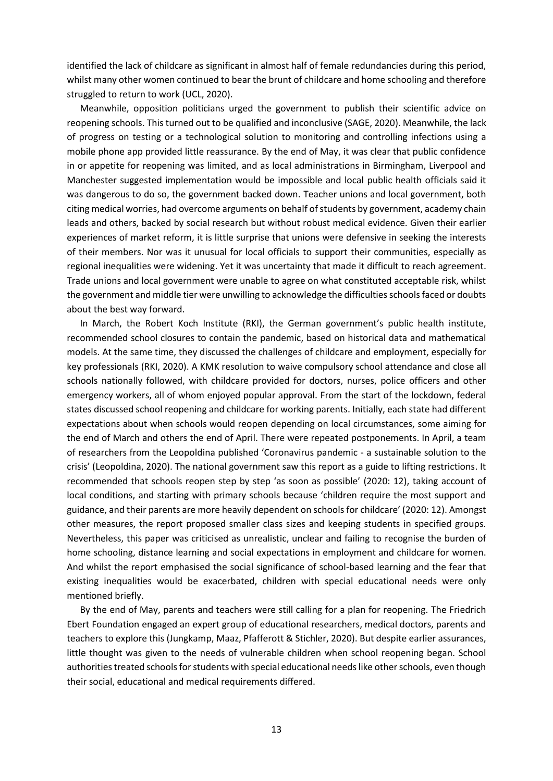identified the lack of childcare as significant in almost half of female redundancies during this period, whilst many other women continued to bear the brunt of childcare and home schooling and therefore struggled to return to work (UCL, 2020).

Meanwhile, opposition politicians urged the government to publish their scientific advice on reopening schools. Thisturned out to be qualified and inconclusive (SAGE, 2020). Meanwhile, the lack of progress on testing or a technological solution to monitoring and controlling infections using a mobile phone app provided little reassurance. By the end of May, it was clear that public confidence in or appetite for reopening was limited, and as local administrations in Birmingham, Liverpool and Manchester suggested implementation would be impossible and local public health officials said it was dangerous to do so, the government backed down. Teacher unions and local government, both citing medical worries, had overcome arguments on behalf of students by government, academy chain leads and others, backed by social research but without robust medical evidence. Given their earlier experiences of market reform, it is little surprise that unions were defensive in seeking the interests of their members. Nor was it unusual for local officials to support their communities, especially as regional inequalities were widening. Yet it was uncertainty that made it difficult to reach agreement. Trade unions and local government were unable to agree on what constituted acceptable risk, whilst the government and middle tier were unwilling to acknowledge the difficulties schools faced or doubts about the best way forward.

In March, the Robert Koch Institute (RKI), the German government's public health institute, recommended school closures to contain the pandemic, based on historical data and mathematical models. At the same time, they discussed the challenges of childcare and employment, especially for key professionals (RKI, 2020). A KMK resolution to waive compulsory school attendance and close all schools nationally followed, with childcare provided for doctors, nurses, police officers and other emergency workers, all of whom enjoyed popular approval. From the start of the lockdown, federal states discussed school reopening and childcare for working parents. Initially, each state had different expectations about when schools would reopen depending on local circumstances, some aiming for the end of March and others the end of April. There were repeated postponements. In April, a team of researchers from the Leopoldina published 'Coronavirus pandemic - a sustainable solution to the crisis' (Leopoldina, 2020). The national government saw this report as a guide to lifting restrictions. It recommended that schools reopen step by step 'as soon as possible' (2020: 12), taking account of local conditions, and starting with primary schools because 'children require the most support and guidance, and their parents are more heavily dependent on schools for childcare' (2020: 12). Amongst other measures, the report proposed smaller class sizes and keeping students in specified groups. Nevertheless, this paper was criticised as unrealistic, unclear and failing to recognise the burden of home schooling, distance learning and social expectations in employment and childcare for women. And whilst the report emphasised the social significance of school-based learning and the fear that existing inequalities would be exacerbated, children with special educational needs were only mentioned briefly.

By the end of May, parents and teachers were still calling for a plan for reopening. The Friedrich Ebert Foundation engaged an expert group of educational researchers, medical doctors, parents and teachers to explore this (Jungkamp, Maaz, Pfafferott & Stichler, 2020). But despite earlier assurances, little thought was given to the needs of vulnerable children when school reopening began. School authorities treated schools for students with special educational needs like other schools, even though their social, educational and medical requirements differed.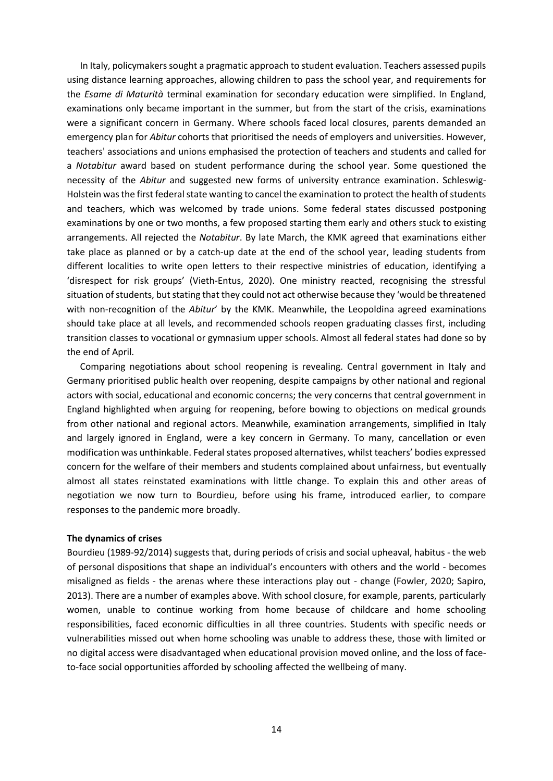In Italy, policymakers sought a pragmatic approach to student evaluation. Teachers assessed pupils using distance learning approaches, allowing children to pass the school year, and requirements for the *Esame di Maturità* terminal examination for secondary education were simplified. In England, examinations only became important in the summer, but from the start of the crisis, examinations were a significant concern in Germany. Where schools faced local closures, parents demanded an emergency plan for *Abitur* cohorts that prioritised the needs of employers and universities. However, teachers' associations and unions emphasised the protection of teachers and students and called for a *Notabitur* award based on student performance during the school year. Some questioned the necessity of the *Abitur* and suggested new forms of university entrance examination. Schleswig-Holstein was the first federal state wanting to cancel the examination to protect the health of students and teachers, which was welcomed by trade unions. Some federal states discussed postponing examinations by one or two months, a few proposed starting them early and others stuck to existing arrangements. All rejected the *Notabitur*. By late March, the KMK agreed that examinations either take place as planned or by a catch-up date at the end of the school year, leading students from different localities to write open letters to their respective ministries of education, identifying a 'disrespect for risk groups' (Vieth-Entus, 2020). One ministry reacted, recognising the stressful situation of students, but stating that they could not act otherwise because they 'would be threatened with non-recognition of the *Abitur*' by the KMK. Meanwhile, the Leopoldina agreed examinations should take place at all levels, and recommended schools reopen graduating classes first, including transition classes to vocational or gymnasium upper schools. Almost all federal states had done so by the end of April.

Comparing negotiations about school reopening is revealing. Central government in Italy and Germany prioritised public health over reopening, despite campaigns by other national and regional actors with social, educational and economic concerns; the very concerns that central government in England highlighted when arguing for reopening, before bowing to objections on medical grounds from other national and regional actors. Meanwhile, examination arrangements, simplified in Italy and largely ignored in England, were a key concern in Germany. To many, cancellation or even modification was unthinkable. Federal states proposed alternatives, whilst teachers' bodies expressed concern for the welfare of their members and students complained about unfairness, but eventually almost all states reinstated examinations with little change. To explain this and other areas of negotiation we now turn to Bourdieu, before using his frame, introduced earlier, to compare responses to the pandemic more broadly.

#### **The dynamics of crises**

Bourdieu (1989-92/2014) suggests that, during periods of crisis and social upheaval, habitus - the web of personal dispositions that shape an individual's encounters with others and the world - becomes misaligned as fields - the arenas where these interactions play out - change (Fowler, 2020; Sapiro, 2013). There are a number of examples above. With school closure, for example, parents, particularly women, unable to continue working from home because of childcare and home schooling responsibilities, faced economic difficulties in all three countries. Students with specific needs or vulnerabilities missed out when home schooling was unable to address these, those with limited or no digital access were disadvantaged when educational provision moved online, and the loss of faceto-face social opportunities afforded by schooling affected the wellbeing of many.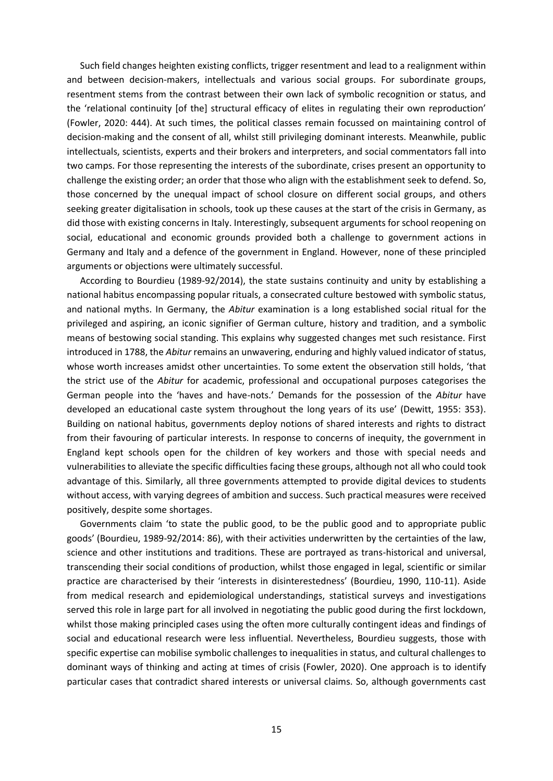Such field changes heighten existing conflicts, trigger resentment and lead to a realignment within and between decision-makers, intellectuals and various social groups. For subordinate groups, resentment stems from the contrast between their own lack of symbolic recognition or status, and the 'relational continuity [of the] structural efficacy of elites in regulating their own reproduction' (Fowler, 2020: 444). At such times, the political classes remain focussed on maintaining control of decision-making and the consent of all, whilst still privileging dominant interests. Meanwhile, public intellectuals, scientists, experts and their brokers and interpreters, and social commentators fall into two camps. For those representing the interests of the subordinate, crises present an opportunity to challenge the existing order; an order that those who align with the establishment seek to defend. So, those concerned by the unequal impact of school closure on different social groups, and others seeking greater digitalisation in schools, took up these causes at the start of the crisis in Germany, as did those with existing concerns in Italy. Interestingly, subsequent arguments for school reopening on social, educational and economic grounds provided both a challenge to government actions in Germany and Italy and a defence of the government in England. However, none of these principled arguments or objections were ultimately successful.

According to Bourdieu (1989-92/2014), the state sustains continuity and unity by establishing a national habitus encompassing popular rituals, a consecrated culture bestowed with symbolic status, and national myths. In Germany, the *Abitur* examination is a long established social ritual for the privileged and aspiring, an iconic signifier of German culture, history and tradition, and a symbolic means of bestowing social standing. This explains why suggested changes met such resistance. First introduced in 1788, the *Abitur* remains an unwavering, enduring and highly valued indicator of status, whose worth increases amidst other uncertainties. To some extent the observation still holds, 'that the strict use of the *Abitur* for academic, professional and occupational purposes categorises the German people into the 'haves and have-nots.' Demands for the possession of the *Abitur* have developed an educational caste system throughout the long years of its use' (Dewitt, 1955: 353). Building on national habitus, governments deploy notions of shared interests and rights to distract from their favouring of particular interests. In response to concerns of inequity, the government in England kept schools open for the children of key workers and those with special needs and vulnerabilities to alleviate the specific difficulties facing these groups, although not all who could took advantage of this. Similarly, all three governments attempted to provide digital devices to students without access, with varying degrees of ambition and success. Such practical measures were received positively, despite some shortages.

Governments claim 'to state the public good, to be the public good and to appropriate public goods' (Bourdieu, 1989-92/2014: 86), with their activities underwritten by the certainties of the law, science and other institutions and traditions. These are portrayed as trans-historical and universal, transcending their social conditions of production, whilst those engaged in legal, scientific or similar practice are characterised by their 'interests in disinterestedness' (Bourdieu, 1990, 110-11). Aside from medical research and epidemiological understandings, statistical surveys and investigations served this role in large part for all involved in negotiating the public good during the first lockdown, whilst those making principled cases using the often more culturally contingent ideas and findings of social and educational research were less influential. Nevertheless, Bourdieu suggests, those with specific expertise can mobilise symbolic challenges to inequalities in status, and cultural challenges to dominant ways of thinking and acting at times of crisis (Fowler, 2020). One approach is to identify particular cases that contradict shared interests or universal claims. So, although governments cast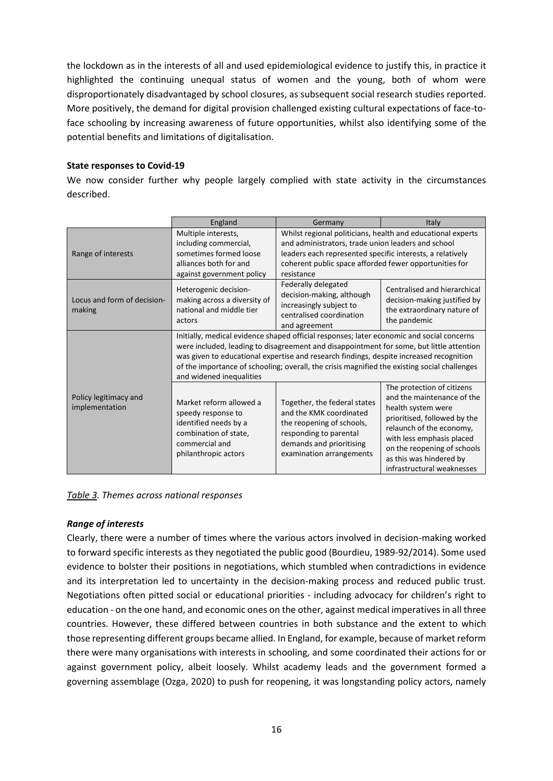the lockdown as in the interests of all and used epidemiological evidence to justify this, in practice it highlighted the continuing unequal status of women and the young, both of whom were disproportionately disadvantaged by school closures, as subsequent social research studies reported. More positively, the demand for digital provision challenged existing cultural expectations of face-toface schooling by increasing awareness of future opportunities, whilst also identifying some of the potential benefits and limitations of digitalisation.

# **State responses to Covid-19**

We now consider further why people largely complied with state activity in the circumstances described.

|                                         | England                                                                                                                                                                                                                                                                                                                                                                                                      | Germany                                                                                                                                                                                                                                                | Italy                                                                                                                                                                                                                                                           |  |
|-----------------------------------------|--------------------------------------------------------------------------------------------------------------------------------------------------------------------------------------------------------------------------------------------------------------------------------------------------------------------------------------------------------------------------------------------------------------|--------------------------------------------------------------------------------------------------------------------------------------------------------------------------------------------------------------------------------------------------------|-----------------------------------------------------------------------------------------------------------------------------------------------------------------------------------------------------------------------------------------------------------------|--|
| Range of interests                      | Multiple interests,<br>including commercial,<br>sometimes formed loose<br>alliances both for and<br>against government policy                                                                                                                                                                                                                                                                                | Whilst regional politicians, health and educational experts<br>and administrators, trade union leaders and school<br>leaders each represented specific interests, a relatively<br>coherent public space afforded fewer opportunities for<br>resistance |                                                                                                                                                                                                                                                                 |  |
| Locus and form of decision-<br>making   | Heterogenic decision-<br>making across a diversity of<br>national and middle tier<br>actors                                                                                                                                                                                                                                                                                                                  | Federally delegated<br>decision-making, although<br>increasingly subject to<br>centralised coordination<br>and agreement                                                                                                                               | Centralised and hierarchical<br>decision-making justified by<br>the extraordinary nature of<br>the pandemic                                                                                                                                                     |  |
|                                         | Initially, medical evidence shaped official responses; later economic and social concerns<br>were included, leading to disagreement and disappointment for some, but little attention<br>was given to educational expertise and research findings, despite increased recognition<br>of the importance of schooling; overall, the crisis magnified the existing social challenges<br>and widened inequalities |                                                                                                                                                                                                                                                        |                                                                                                                                                                                                                                                                 |  |
| Policy legitimacy and<br>implementation | Market reform allowed a<br>speedy response to<br>identified needs by a<br>combination of state,<br>commercial and<br>philanthropic actors                                                                                                                                                                                                                                                                    | Together, the federal states<br>and the KMK coordinated<br>the reopening of schools,<br>responding to parental<br>demands and prioritising<br>examination arrangements                                                                                 | The protection of citizens<br>and the maintenance of the<br>health system were<br>prioritised, followed by the<br>relaunch of the economy,<br>with less emphasis placed<br>on the reopening of schools<br>as this was hindered by<br>infrastructural weaknesses |  |

*Table 3. Themes across national responses*

# *Range of interests*

Clearly, there were a number of times where the various actors involved in decision-making worked to forward specific interests as they negotiated the public good (Bourdieu, 1989-92/2014). Some used evidence to bolster their positions in negotiations, which stumbled when contradictions in evidence and its interpretation led to uncertainty in the decision-making process and reduced public trust. Negotiations often pitted social or educational priorities - including advocacy for children's right to education - on the one hand, and economic ones on the other, against medical imperatives in all three countries. However, these differed between countries in both substance and the extent to which those representing different groups became allied. In England, for example, because of market reform there were many organisations with interests in schooling, and some coordinated their actions for or against government policy, albeit loosely. Whilst academy leads and the government formed a governing assemblage (Ozga, 2020) to push for reopening, it was longstanding policy actors, namely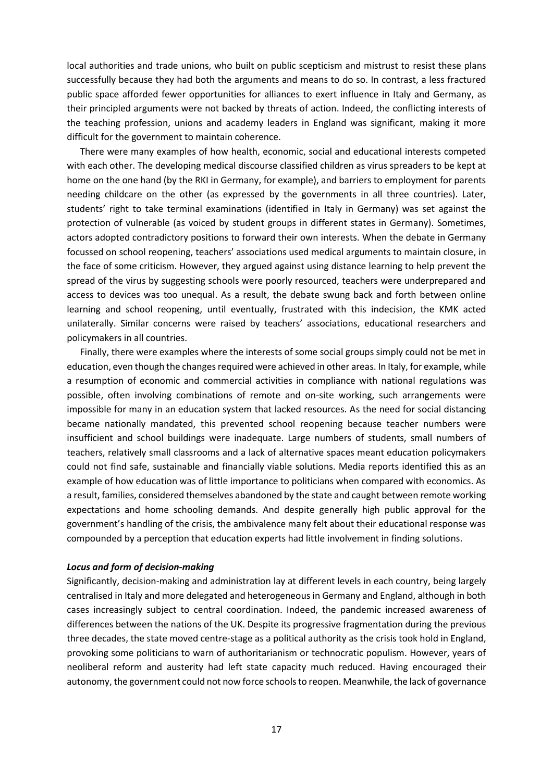local authorities and trade unions, who built on public scepticism and mistrust to resist these plans successfully because they had both the arguments and means to do so. In contrast, a less fractured public space afforded fewer opportunities for alliances to exert influence in Italy and Germany, as their principled arguments were not backed by threats of action. Indeed, the conflicting interests of the teaching profession, unions and academy leaders in England was significant, making it more difficult for the government to maintain coherence.

There were many examples of how health, economic, social and educational interests competed with each other. The developing medical discourse classified children as virus spreaders to be kept at home on the one hand (by the RKI in Germany, for example), and barriers to employment for parents needing childcare on the other (as expressed by the governments in all three countries). Later, students' right to take terminal examinations (identified in Italy in Germany) was set against the protection of vulnerable (as voiced by student groups in different states in Germany). Sometimes, actors adopted contradictory positions to forward their own interests. When the debate in Germany focussed on school reopening, teachers' associations used medical arguments to maintain closure, in the face of some criticism. However, they argued against using distance learning to help prevent the spread of the virus by suggesting schools were poorly resourced, teachers were underprepared and access to devices was too unequal. As a result, the debate swung back and forth between online learning and school reopening, until eventually, frustrated with this indecision, the KMK acted unilaterally. Similar concerns were raised by teachers' associations, educational researchers and policymakers in all countries.

Finally, there were examples where the interests of some social groups simply could not be met in education, even though the changes required were achieved in other areas. In Italy, for example, while a resumption of economic and commercial activities in compliance with national regulations was possible, often involving combinations of remote and on-site working, such arrangements were impossible for many in an education system that lacked resources. As the need for social distancing became nationally mandated, this prevented school reopening because teacher numbers were insufficient and school buildings were inadequate. Large numbers of students, small numbers of teachers, relatively small classrooms and a lack of alternative spaces meant education policymakers could not find safe, sustainable and financially viable solutions. Media reports identified this as an example of how education was of little importance to politicians when compared with economics. As a result, families, considered themselves abandoned by the state and caught between remote working expectations and home schooling demands. And despite generally high public approval for the government's handling of the crisis, the ambivalence many felt about their educational response was compounded by a perception that education experts had little involvement in finding solutions.

## *Locus and form of decision-making*

Significantly, decision-making and administration lay at different levels in each country, being largely centralised in Italy and more delegated and heterogeneous in Germany and England, although in both cases increasingly subject to central coordination. Indeed, the pandemic increased awareness of differences between the nations of the UK. Despite its progressive fragmentation during the previous three decades, the state moved centre-stage as a political authority as the crisis took hold in England, provoking some politicians to warn of authoritarianism or technocratic populism. However, years of neoliberal reform and austerity had left state capacity much reduced. Having encouraged their autonomy, the government could not now force schools to reopen. Meanwhile, the lack of governance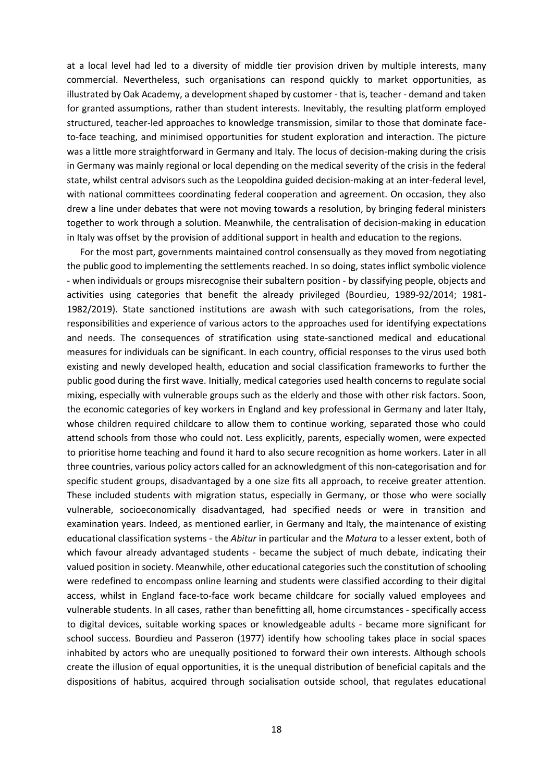at a local level had led to a diversity of middle tier provision driven by multiple interests, many commercial. Nevertheless, such organisations can respond quickly to market opportunities, as illustrated by Oak Academy, a development shaped by customer - that is, teacher - demand and taken for granted assumptions, rather than student interests. Inevitably, the resulting platform employed structured, teacher-led approaches to knowledge transmission, similar to those that dominate faceto-face teaching, and minimised opportunities for student exploration and interaction. The picture was a little more straightforward in Germany and Italy. The locus of decision-making during the crisis in Germany was mainly regional or local depending on the medical severity of the crisis in the federal state, whilst central advisors such as the Leopoldina guided decision-making at an inter-federal level, with national committees coordinating federal cooperation and agreement. On occasion, they also drew a line under debates that were not moving towards a resolution, by bringing federal ministers together to work through a solution. Meanwhile, the centralisation of decision-making in education in Italy was offset by the provision of additional support in health and education to the regions.

For the most part, governments maintained control consensually as they moved from negotiating the public good to implementing the settlements reached. In so doing, states inflict symbolic violence - when individuals or groups misrecognise their subaltern position - by classifying people, objects and activities using categories that benefit the already privileged (Bourdieu, 1989-92/2014; 1981- 1982/2019). State sanctioned institutions are awash with such categorisations, from the roles, responsibilities and experience of various actors to the approaches used for identifying expectations and needs. The consequences of stratification using state-sanctioned medical and educational measures for individuals can be significant. In each country, official responses to the virus used both existing and newly developed health, education and social classification frameworks to further the public good during the first wave. Initially, medical categories used health concerns to regulate social mixing, especially with vulnerable groups such as the elderly and those with other risk factors. Soon, the economic categories of key workers in England and key professional in Germany and later Italy, whose children required childcare to allow them to continue working, separated those who could attend schools from those who could not. Less explicitly, parents, especially women, were expected to prioritise home teaching and found it hard to also secure recognition as home workers. Later in all three countries, various policy actors called for an acknowledgment of this non-categorisation and for specific student groups, disadvantaged by a one size fits all approach, to receive greater attention. These included students with migration status, especially in Germany, or those who were socially vulnerable, socioeconomically disadvantaged, had specified needs or were in transition and examination years. Indeed, as mentioned earlier, in Germany and Italy, the maintenance of existing educational classification systems - the *Abitur* in particular and the *Matura* to a lesser extent, both of which favour already advantaged students - became the subject of much debate, indicating their valued position in society. Meanwhile, other educational categories such the constitution of schooling were redefined to encompass online learning and students were classified according to their digital access, whilst in England face-to-face work became childcare for socially valued employees and vulnerable students. In all cases, rather than benefitting all, home circumstances - specifically access to digital devices, suitable working spaces or knowledgeable adults - became more significant for school success. Bourdieu and Passeron (1977) identify how schooling takes place in social spaces inhabited by actors who are unequally positioned to forward their own interests. Although schools create the illusion of equal opportunities, it is the unequal distribution of beneficial capitals and the dispositions of habitus, acquired through socialisation outside school, that regulates educational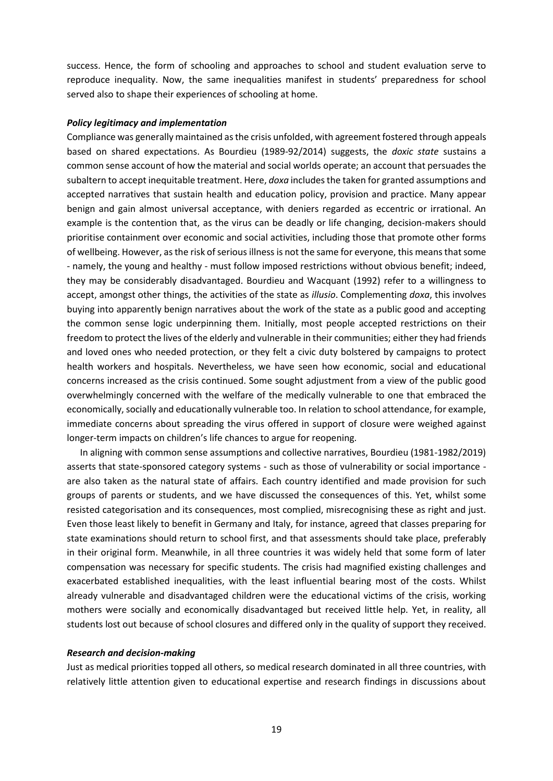success. Hence, the form of schooling and approaches to school and student evaluation serve to reproduce inequality. Now, the same inequalities manifest in students' preparedness for school served also to shape their experiences of schooling at home.

### *Policy legitimacy and implementation*

Compliance was generally maintained as the crisis unfolded, with agreement fostered through appeals based on shared expectations. As Bourdieu (1989-92/2014) suggests, the *doxic state* sustains a common sense account of how the material and social worlds operate; an account that persuades the subaltern to accept inequitable treatment. Here, *doxa* includes the taken for granted assumptions and accepted narratives that sustain health and education policy, provision and practice. Many appear benign and gain almost universal acceptance, with deniers regarded as eccentric or irrational. An example is the contention that, as the virus can be deadly or life changing, decision-makers should prioritise containment over economic and social activities, including those that promote other forms of wellbeing. However, as the risk of serious illness is not the same for everyone, this means that some - namely, the young and healthy - must follow imposed restrictions without obvious benefit; indeed, they may be considerably disadvantaged. Bourdieu and Wacquant (1992) refer to a willingness to accept, amongst other things, the activities of the state as *illusio*. Complementing *doxa*, this involves buying into apparently benign narratives about the work of the state as a public good and accepting the common sense logic underpinning them. Initially, most people accepted restrictions on their freedom to protect the lives of the elderly and vulnerable in their communities; either they had friends and loved ones who needed protection, or they felt a civic duty bolstered by campaigns to protect health workers and hospitals. Nevertheless, we have seen how economic, social and educational concerns increased as the crisis continued. Some sought adjustment from a view of the public good overwhelmingly concerned with the welfare of the medically vulnerable to one that embraced the economically, socially and educationally vulnerable too. In relation to school attendance, for example, immediate concerns about spreading the virus offered in support of closure were weighed against longer-term impacts on children's life chances to argue for reopening.

In aligning with common sense assumptions and collective narratives, Bourdieu (1981-1982/2019) asserts that state-sponsored category systems - such as those of vulnerability or social importance are also taken as the natural state of affairs. Each country identified and made provision for such groups of parents or students, and we have discussed the consequences of this. Yet, whilst some resisted categorisation and its consequences, most complied, misrecognising these as right and just. Even those least likely to benefit in Germany and Italy, for instance, agreed that classes preparing for state examinations should return to school first, and that assessments should take place, preferably in their original form. Meanwhile, in all three countries it was widely held that some form of later compensation was necessary for specific students. The crisis had magnified existing challenges and exacerbated established inequalities, with the least influential bearing most of the costs. Whilst already vulnerable and disadvantaged children were the educational victims of the crisis, working mothers were socially and economically disadvantaged but received little help. Yet, in reality, all students lost out because of school closures and differed only in the quality of support they received.

### *Research and decision-making*

Just as medical priorities topped all others, so medical research dominated in all three countries, with relatively little attention given to educational expertise and research findings in discussions about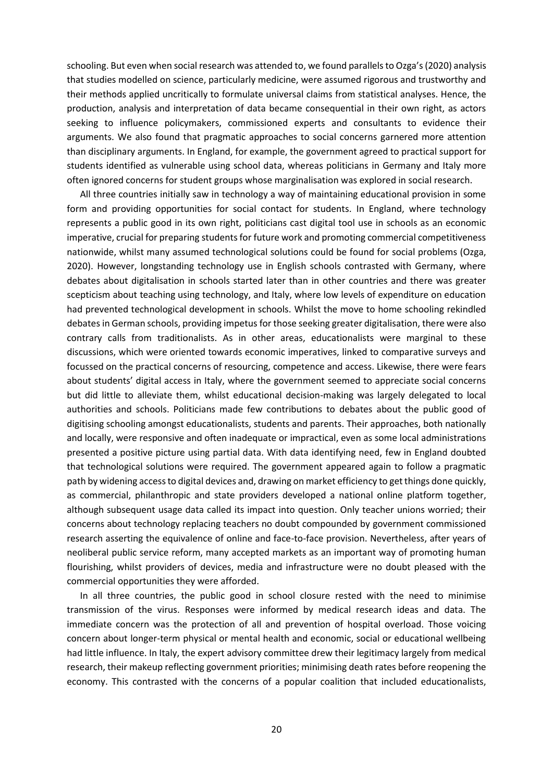schooling. But even when social research was attended to, we found parallels to Ozga's (2020) analysis that studies modelled on science, particularly medicine, were assumed rigorous and trustworthy and their methods applied uncritically to formulate universal claims from statistical analyses. Hence, the production, analysis and interpretation of data became consequential in their own right, as actors seeking to influence policymakers, commissioned experts and consultants to evidence their arguments. We also found that pragmatic approaches to social concerns garnered more attention than disciplinary arguments. In England, for example, the government agreed to practical support for students identified as vulnerable using school data, whereas politicians in Germany and Italy more often ignored concerns for student groups whose marginalisation was explored in social research.

All three countries initially saw in technology a way of maintaining educational provision in some form and providing opportunities for social contact for students. In England, where technology represents a public good in its own right, politicians cast digital tool use in schools as an economic imperative, crucial for preparing students for future work and promoting commercial competitiveness nationwide, whilst many assumed technological solutions could be found for social problems (Ozga, 2020). However, longstanding technology use in English schools contrasted with Germany, where debates about digitalisation in schools started later than in other countries and there was greater scepticism about teaching using technology, and Italy, where low levels of expenditure on education had prevented technological development in schools. Whilst the move to home schooling rekindled debates in German schools, providing impetus for those seeking greater digitalisation, there were also contrary calls from traditionalists. As in other areas, educationalists were marginal to these discussions, which were oriented towards economic imperatives, linked to comparative surveys and focussed on the practical concerns of resourcing, competence and access. Likewise, there were fears about students' digital access in Italy, where the government seemed to appreciate social concerns but did little to alleviate them, whilst educational decision-making was largely delegated to local authorities and schools. Politicians made few contributions to debates about the public good of digitising schooling amongst educationalists, students and parents. Their approaches, both nationally and locally, were responsive and often inadequate or impractical, even as some local administrations presented a positive picture using partial data. With data identifying need, few in England doubted that technological solutions were required. The government appeared again to follow a pragmatic path by widening access to digital devices and, drawing on market efficiency to get things done quickly, as commercial, philanthropic and state providers developed a national online platform together, although subsequent usage data called its impact into question. Only teacher unions worried; their concerns about technology replacing teachers no doubt compounded by government commissioned research asserting the equivalence of online and face-to-face provision. Nevertheless, after years of neoliberal public service reform, many accepted markets as an important way of promoting human flourishing, whilst providers of devices, media and infrastructure were no doubt pleased with the commercial opportunities they were afforded.

In all three countries, the public good in school closure rested with the need to minimise transmission of the virus. Responses were informed by medical research ideas and data. The immediate concern was the protection of all and prevention of hospital overload. Those voicing concern about longer-term physical or mental health and economic, social or educational wellbeing had little influence. In Italy, the expert advisory committee drew their legitimacy largely from medical research, their makeup reflecting government priorities; minimising death rates before reopening the economy. This contrasted with the concerns of a popular coalition that included educationalists,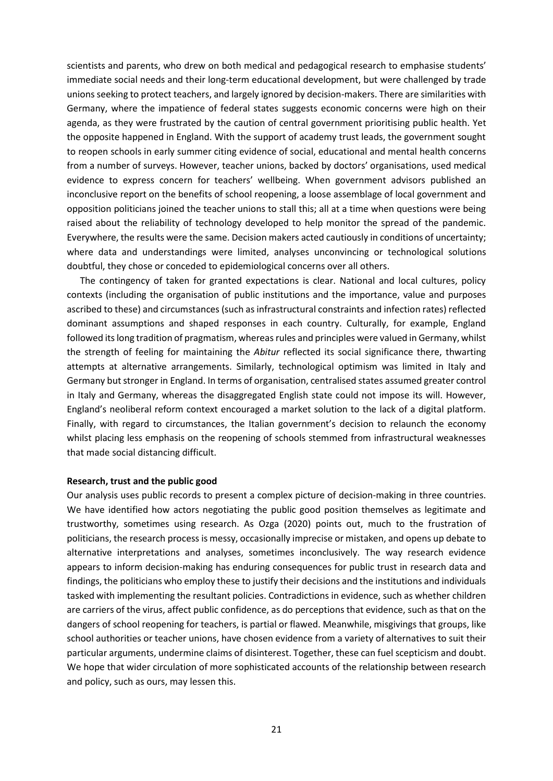scientists and parents, who drew on both medical and pedagogical research to emphasise students' immediate social needs and their long-term educational development, but were challenged by trade unions seeking to protect teachers, and largely ignored by decision-makers. There are similarities with Germany, where the impatience of federal states suggests economic concerns were high on their agenda, as they were frustrated by the caution of central government prioritising public health. Yet the opposite happened in England. With the support of academy trust leads, the government sought to reopen schools in early summer citing evidence of social, educational and mental health concerns from a number of surveys. However, teacher unions, backed by doctors' organisations, used medical evidence to express concern for teachers' wellbeing. When government advisors published an inconclusive report on the benefits of school reopening, a loose assemblage of local government and opposition politicians joined the teacher unions to stall this; all at a time when questions were being raised about the reliability of technology developed to help monitor the spread of the pandemic. Everywhere, the results were the same. Decision makers acted cautiously in conditions of uncertainty; where data and understandings were limited, analyses unconvincing or technological solutions doubtful, they chose or conceded to epidemiological concerns over all others.

The contingency of taken for granted expectations is clear. National and local cultures, policy contexts (including the organisation of public institutions and the importance, value and purposes ascribed to these) and circumstances (such as infrastructural constraints and infection rates) reflected dominant assumptions and shaped responses in each country. Culturally, for example, England followed its long tradition of pragmatism, whereas rules and principles were valued in Germany, whilst the strength of feeling for maintaining the *Abitur* reflected its social significance there, thwarting attempts at alternative arrangements. Similarly, technological optimism was limited in Italy and Germany but stronger in England. In terms of organisation, centralised states assumed greater control in Italy and Germany, whereas the disaggregated English state could not impose its will. However, England's neoliberal reform context encouraged a market solution to the lack of a digital platform. Finally, with regard to circumstances, the Italian government's decision to relaunch the economy whilst placing less emphasis on the reopening of schools stemmed from infrastructural weaknesses that made social distancing difficult.

### **Research, trust and the public good**

Our analysis uses public records to present a complex picture of decision-making in three countries. We have identified how actors negotiating the public good position themselves as legitimate and trustworthy, sometimes using research. As Ozga (2020) points out, much to the frustration of politicians, the research process is messy, occasionally imprecise or mistaken, and opens up debate to alternative interpretations and analyses, sometimes inconclusively. The way research evidence appears to inform decision-making has enduring consequences for public trust in research data and findings, the politicians who employ these to justify their decisions and the institutions and individuals tasked with implementing the resultant policies. Contradictions in evidence, such as whether children are carriers of the virus, affect public confidence, as do perceptions that evidence, such as that on the dangers of school reopening for teachers, is partial or flawed. Meanwhile, misgivings that groups, like school authorities or teacher unions, have chosen evidence from a variety of alternatives to suit their particular arguments, undermine claims of disinterest. Together, these can fuel scepticism and doubt. We hope that wider circulation of more sophisticated accounts of the relationship between research and policy, such as ours, may lessen this.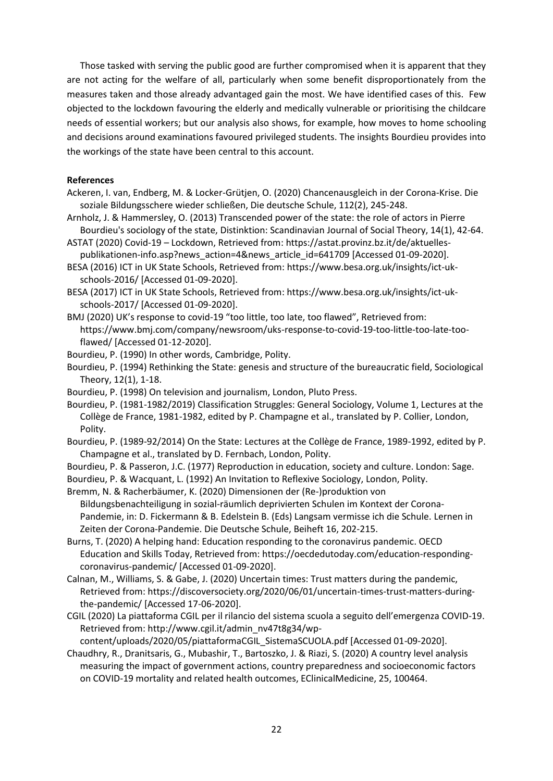Those tasked with serving the public good are further compromised when it is apparent that they are not acting for the welfare of all, particularly when some benefit disproportionately from the measures taken and those already advantaged gain the most. We have identified cases of this. Few objected to the lockdown favouring the elderly and medically vulnerable or prioritising the childcare needs of essential workers; but our analysis also shows, for example, how moves to home schooling and decisions around examinations favoured privileged students. The insights Bourdieu provides into the workings of the state have been central to this account.

# **References**

- Ackeren, I. van, Endberg, M. & Locker-Grütjen, O. (2020) Chancenausgleich in der Corona-Krise. Die soziale Bildungsschere wieder schließen, Die deutsche Schule, 112(2), 245-248.
- Arnholz, J. & Hammersley, O. (2013) Transcended power of the state: the role of actors in Pierre Bourdieu's sociology of the state, Distinktion: Scandinavian Journal of Social Theory, 14(1), 42-64.
- ASTAT (2020) Covid-19 Lockdown, Retrieved from: https://astat.provinz.bz.it/de/aktuellespublikationen-info.asp?news\_action=4&news\_article\_id=641709 [Accessed 01-09-2020].
- BESA (2016) ICT in UK State Schools, Retrieved from: https://www.besa.org.uk/insights/ict-ukschools-2016/ [Accessed 01-09-2020].
- BESA (2017) ICT in UK State Schools, Retrieved from: https://www.besa.org.uk/insights/ict-ukschools-2017/ [Accessed 01-09-2020].
- BMJ (2020) UK's response to covid-19 "too little, too late, too flawed", Retrieved from: https://www.bmj.com/company/newsroom/uks-response-to-covid-19-too-little-too-late-tooflawed/ [Accessed 01-12-2020].
- Bourdieu, P. (1990) In other words, Cambridge, Polity.
- Bourdieu, P. (1994) Rethinking the State: genesis and structure of the bureaucratic field, Sociological Theory, 12(1), 1-18.
- Bourdieu, P. (1998) On television and journalism, London, Pluto Press.
- Bourdieu, P. (1981-1982/2019) Classification Struggles: General Sociology, Volume 1, Lectures at the Collège de France, 1981-1982, edited by P. Champagne et al., translated by P. Collier, London, Polity.
- Bourdieu, P. (1989-92/2014) On the State: Lectures at the Collège de France, 1989-1992, edited by P. Champagne et al., translated by D. Fernbach, London, Polity.
- Bourdieu, P. & Passeron, J.C. (1977) Reproduction in education, society and culture. London: Sage.
- Bourdieu, P. & Wacquant, L. (1992) An Invitation to Reflexive Sociology, London, Polity.

Bremm, N. & Racherbäumer, K. (2020) Dimensionen der (Re-)produktion von Bildungsbenachteiligung in sozial-räumlich deprivierten Schulen im Kontext der Corona-Pandemie, in: D. Fickermann & B. Edelstein B. (Eds) Langsam vermisse ich die Schule. Lernen in Zeiten der Corona-Pandemie. Die Deutsche Schule, Beiheft 16, 202-215.

- Burns, T. (2020) A helping hand: Education responding to the coronavirus pandemic. OECD Education and Skills Today, Retrieved from: https://oecdedutoday.com/education-respondingcoronavirus-pandemic/ [Accessed 01-09-2020].
- Calnan, M., Williams, S. & Gabe, J. (2020) Uncertain times: Trust matters during the pandemic, Retrieved from: https://discoversociety.org/2020/06/01/uncertain-times-trust-matters-duringthe-pandemic/ [Accessed 17-06-2020].
- CGIL (2020) La piattaforma CGIL per il rilancio del sistema scuola a seguito dell'emergenza COVID-19. Retrieved from: http://www.cgil.it/admin\_nv47t8g34/wp-

content/uploads/2020/05/piattaformaCGIL\_SistemaSCUOLA.pdf [Accessed 01-09-2020].

Chaudhry, R., Dranitsaris, G., Mubashir, T., Bartoszko, J. & Riazi, S. (2020) A country level analysis measuring the impact of government actions, country preparedness and socioeconomic factors on COVID-19 mortality and related health outcomes, EClinicalMedicine, 25, 100464.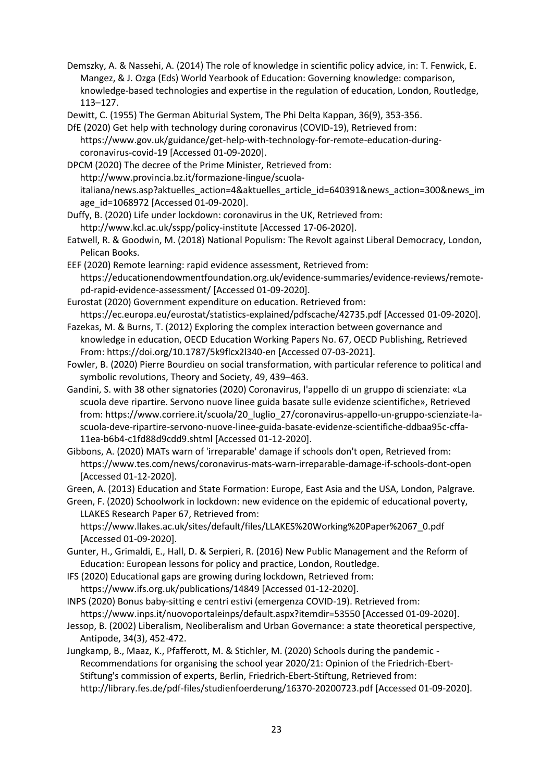Demszky, A. & Nassehi, A. (2014) The role of knowledge in scientific policy advice, in: T. Fenwick, E. Mangez, & J. Ozga (Eds) World Yearbook of Education: Governing knowledge: comparison, knowledge-based technologies and expertise in the regulation of education, London, Routledge, 113–127.

Dewitt, C. (1955) The German Abiturial System, The Phi Delta Kappan, 36(9), 353-356.

DfE (2020) Get help with technology during coronavirus (COVID-19), Retrieved from: https://www.gov.uk/guidance/get-help-with-technology-for-remote-education-duringcoronavirus-covid-19 [Accessed 01-09-2020].

DPCM (2020) The decree of the Prime Minister, Retrieved from: http://www.provincia.bz.it/formazione-lingue/scuolaitaliana/news.asp?aktuelles\_action=4&aktuelles\_article\_id=640391&news\_action=300&news\_im age\_id=1068972 [Accessed 01-09-2020].

- Duffy, B. (2020) Life under lockdown: coronavirus in the UK, Retrieved from: http://www.kcl.ac.uk/sspp/policy-institute [Accessed 17-06-2020].
- Eatwell, R. & Goodwin, M. (2018) National Populism: The Revolt against Liberal Democracy, London, Pelican Books.
- EEF (2020) Remote learning: rapid evidence assessment, Retrieved from: https://educationendowmentfoundation.org.uk/evidence-summaries/evidence-reviews/remotepd-rapid-evidence-assessment/ [Accessed 01-09-2020].
- Eurostat (2020) Government expenditure on education. Retrieved from: https://ec.europa.eu/eurostat/statistics-explained/pdfscache/42735.pdf [Accessed 01-09-2020].
- Fazekas, M. & Burns, T. (2012) Exploring the complex interaction between governance and knowledge in education, OECD Education Working Papers No. 67, OECD Publishing, Retrieved From: https://doi.org/10.1787/5k9flcx2l340-en [Accessed 07-03-2021].
- Fowler, B. (2020) Pierre Bourdieu on social transformation, with particular reference to political and symbolic revolutions, Theory and Society, 49, 439–463.
- Gandini, S. with 38 other signatories (2020) Coronavirus, l'appello di un gruppo di scienziate: «La scuola deve ripartire. Servono nuove linee guida basate sulle evidenze scientifiche», Retrieved from: https://www.corriere.it/scuola/20\_luglio\_27/coronavirus-appello-un-gruppo-scienziate-lascuola-deve-ripartire-servono-nuove-linee-guida-basate-evidenze-scientifiche-ddbaa95c-cffa-11ea-b6b4-c1fd88d9cdd9.shtml [Accessed 01-12-2020].
- Gibbons, A. (2020) MATs warn of 'irreparable' damage if schools don't open, Retrieved from: https://www.tes.com/news/coronavirus-mats-warn-irreparable-damage-if-schools-dont-open [Accessed 01-12-2020].

Green, A. (2013) Education and State Formation: Europe, East Asia and the USA, London, Palgrave.

Green, F. (2020) Schoolwork in lockdown: new evidence on the epidemic of educational poverty, LLAKES Research Paper 67, Retrieved from:

https://www.llakes.ac.uk/sites/default/files/LLAKES%20Working%20Paper%2067\_0.pdf [Accessed 01-09-2020].

Gunter, H., Grimaldi, E., Hall, D. & Serpieri, R. (2016) New Public Management and the Reform of Education: European lessons for policy and practice, London, Routledge.

- IFS (2020) Educational gaps are growing during lockdown, Retrieved from: https://www.ifs.org.uk/publications/14849 [Accessed 01-12-2020].
- INPS (2020) Bonus baby-sitting e centri estivi (emergenza COVID-19). Retrieved from: https://www.inps.it/nuovoportaleinps/default.aspx?itemdir=53550 [Accessed 01-09-2020].
- Jessop, B. (2002) Liberalism, Neoliberalism and Urban Governance: a state theoretical perspective, Antipode, 34(3), 452-472.
- Jungkamp, B., Maaz, K., Pfafferott, M. & Stichler, M. (2020) Schools during the pandemic Recommendations for organising the school year 2020/21: Opinion of the Friedrich-Ebert-Stiftung's commission of experts, Berlin, Friedrich-Ebert-Stiftung, Retrieved from: http://library.fes.de/pdf-files/studienfoerderung/16370-20200723.pdf [Accessed 01-09-2020].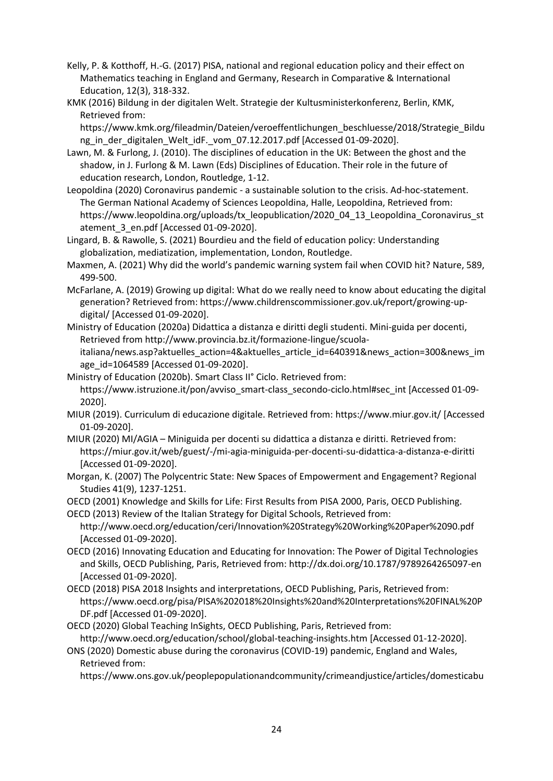- Kelly, P. & Kotthoff, H.-G. (2017) PISA, national and regional education policy and their effect on Mathematics teaching in England and Germany, Research in Comparative & International Education, 12(3), 318-332.
- KMK (2016) Bildung in der digitalen Welt. Strategie der Kultusministerkonferenz, Berlin, KMK, Retrieved from:

https://www.kmk.org/fileadmin/Dateien/veroeffentlichungen\_beschluesse/2018/Strategie\_Bildu ng in der digitalen Welt idF. vom 07.12.2017.pdf [Accessed 01-09-2020].

- Lawn, M. & Furlong, J. (2010). The disciplines of education in the UK: Between the ghost and the shadow, in J. Furlong & M. Lawn (Eds) Disciplines of Education. Their role in the future of education research, London, Routledge, 1-12.
- Leopoldina (2020) Coronavirus pandemic a sustainable solution to the crisis. Ad-hoc-statement. The German National Academy of Sciences Leopoldina, Halle, Leopoldina, Retrieved from: https://www.leopoldina.org/uploads/tx\_leopublication/2020\_04\_13\_Leopoldina\_Coronavirus\_st atement\_3\_en.pdf [Accessed 01-09-2020].
- Lingard, B. & Rawolle, S. (2021) Bourdieu and the field of education policy: Understanding globalization, mediatization, implementation, London, Routledge.
- Maxmen, A. (2021) Why did the world's pandemic warning system fail when COVID hit? Nature, 589, 499-500.
- McFarlane, A. (2019) Growing up digital: What do we really need to know about educating the digital generation? Retrieved from: https://www.childrenscommissioner.gov.uk/report/growing-updigital/ [Accessed 01-09-2020].
- Ministry of Education (2020a) Didattica a distanza e diritti degli studenti. Mini-guida per docenti, Retrieved from http://www.provincia.bz.it/formazione-lingue/scuolaitaliana/news.asp?aktuelles\_action=4&aktuelles\_article\_id=640391&news\_action=300&news\_im age id=1064589 [Accessed 01-09-2020].
- Ministry of Education (2020b). Smart Class II° Ciclo. Retrieved from: https://www.istruzione.it/pon/avviso\_smart-class\_secondo-ciclo.html#sec\_int [Accessed 01-09-2020].
- MIUR (2019). Curriculum di educazione digitale. Retrieved from: https://www.miur.gov.it/ [Accessed 01-09-2020].
- MIUR (2020) MI/AGIA Miniguida per docenti su didattica a distanza e diritti. Retrieved from: https://miur.gov.it/web/guest/-/mi-agia-miniguida-per-docenti-su-didattica-a-distanza-e-diritti [Accessed 01-09-2020].
- Morgan, K. (2007) The Polycentric State: New Spaces of Empowerment and Engagement? Regional Studies 41(9), 1237-1251.
- OECD (2001) Knowledge and Skills for Life: First Results from PISA 2000, Paris, OECD Publishing.
- OECD (2013) Review of the Italian Strategy for Digital Schools, Retrieved from: http://www.oecd.org/education/ceri/Innovation%20Strategy%20Working%20Paper%2090.pdf [Accessed 01-09-2020].
- OECD (2016) Innovating Education and Educating for Innovation: The Power of Digital Technologies and Skills, OECD Publishing, Paris, Retrieved from: http://dx.doi.org/10.1787/9789264265097-en [Accessed 01-09-2020].
- OECD (2018) PISA 2018 Insights and interpretations, OECD Publishing, Paris, Retrieved from: https://www.oecd.org/pisa/PISA%202018%20Insights%20and%20Interpretations%20FINAL%20P DF.pdf [Accessed 01-09-2020].
- OECD (2020) Global Teaching InSights, OECD Publishing, Paris, Retrieved from: http://www.oecd.org/education/school/global-teaching-insights.htm [Accessed 01-12-2020].
- ONS (2020) Domestic abuse during the coronavirus (COVID-19) pandemic, England and Wales, Retrieved from:
	- https://www.ons.gov.uk/peoplepopulationandcommunity/crimeandjustice/articles/domesticabu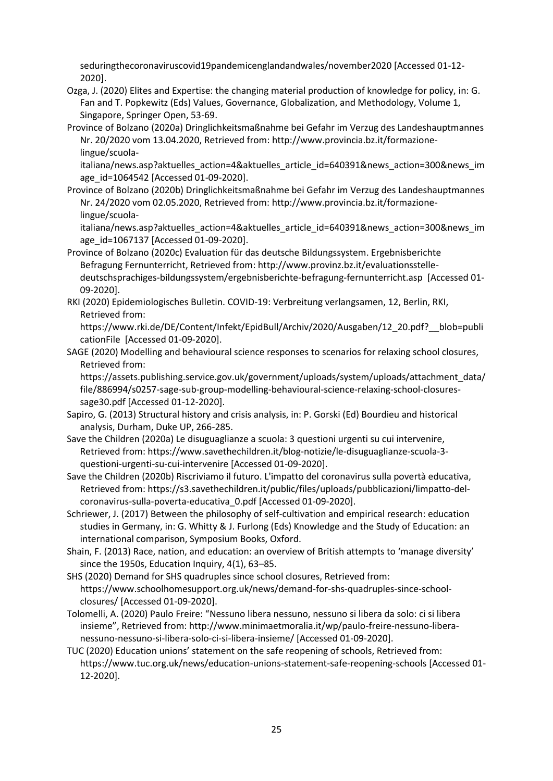seduringthecoronaviruscovid19pandemicenglandandwales/november2020 [Accessed 01-12- 2020].

- Ozga, J. (2020) Elites and Expertise: the changing material production of knowledge for policy, in: G. Fan and T. Popkewitz (Eds) Values, Governance, Globalization, and Methodology, Volume 1, Singapore, Springer Open, 53-69.
- Province of Bolzano (2020a) Dringlichkeitsmaßnahme bei Gefahr im Verzug des Landeshauptmannes Nr. 20/2020 vom 13.04.2020, Retrieved from: http://www.provincia.bz.it/formazionelingue/scuola-

italiana/news.asp?aktuelles\_action=4&aktuelles\_article\_id=640391&news\_action=300&news\_im age id=1064542 [Accessed 01-09-2020].

Province of Bolzano (2020b) Dringlichkeitsmaßnahme bei Gefahr im Verzug des Landeshauptmannes Nr. 24/2020 vom 02.05.2020, Retrieved from: http://www.provincia.bz.it/formazionelingue/scuola-

italiana/news.asp?aktuelles\_action=4&aktuelles\_article\_id=640391&news\_action=300&news\_im age\_id=1067137 [Accessed 01-09-2020].

Province of Bolzano (2020c) Evaluation für das deutsche Bildungssystem. Ergebnisberichte Befragung Fernunterricht, Retrieved from: http://www.provinz.bz.it/evaluationsstelledeutschsprachiges-bildungssystem/ergebnisberichte-befragung-fernunterricht.asp [Accessed 01- 09-2020].

RKI (2020) Epidemiologisches Bulletin. COVID-19: Verbreitung verlangsamen, 12, Berlin, RKI, Retrieved from:

https://www.rki.de/DE/Content/Infekt/EpidBull/Archiv/2020/Ausgaben/12\_20.pdf?\_\_blob=publi cationFile [Accessed 01-09-2020].

SAGE (2020) Modelling and behavioural science responses to scenarios for relaxing school closures, Retrieved from:

https://assets.publishing.service.gov.uk/government/uploads/system/uploads/attachment\_data/ file/886994/s0257-sage-sub-group-modelling-behavioural-science-relaxing-school-closuressage30.pdf [Accessed 01-12-2020].

- Sapiro, G. (2013) Structural history and crisis analysis, in: P. Gorski (Ed) Bourdieu and historical analysis, Durham, Duke UP, 266-285.
- Save the Children (2020a) Le disuguaglianze a scuola: 3 questioni urgenti su cui intervenire, Retrieved from: https://www.savethechildren.it/blog-notizie/le-disuguaglianze-scuola-3 questioni-urgenti-su-cui-intervenire [Accessed 01-09-2020].
- Save the Children (2020b) Riscriviamo il futuro. L'impatto del coronavirus sulla povertà educativa, Retrieved from: https://s3.savethechildren.it/public/files/uploads/pubblicazioni/limpatto-delcoronavirus-sulla-poverta-educativa\_0.pdf [Accessed 01-09-2020].
- Schriewer, J. (2017) Between the philosophy of self-cultivation and empirical research: education studies in Germany, in: G. Whitty & J. Furlong (Eds) Knowledge and the Study of Education: an international comparison, Symposium Books, Oxford.
- Shain, F. (2013) Race, nation, and education: an overview of British attempts to 'manage diversity' since the 1950s, Education Inquiry, 4(1), 63–85.
- SHS (2020) Demand for SHS quadruples since school closures, Retrieved from: https://www.schoolhomesupport.org.uk/news/demand-for-shs-quadruples-since-schoolclosures/ [Accessed 01-09-2020].
- Tolomelli, A. (2020) Paulo Freire: "Nessuno libera nessuno, nessuno si libera da solo: ci si libera insieme", Retrieved from: http://www.minimaetmoralia.it/wp/paulo-freire-nessuno-liberanessuno-nessuno-si-libera-solo-ci-si-libera-insieme/ [Accessed 01-09-2020].
- TUC (2020) Education unions' statement on the safe reopening of schools, Retrieved from: https://www.tuc.org.uk/news/education-unions-statement-safe-reopening-schools [Accessed 01- 12-2020].